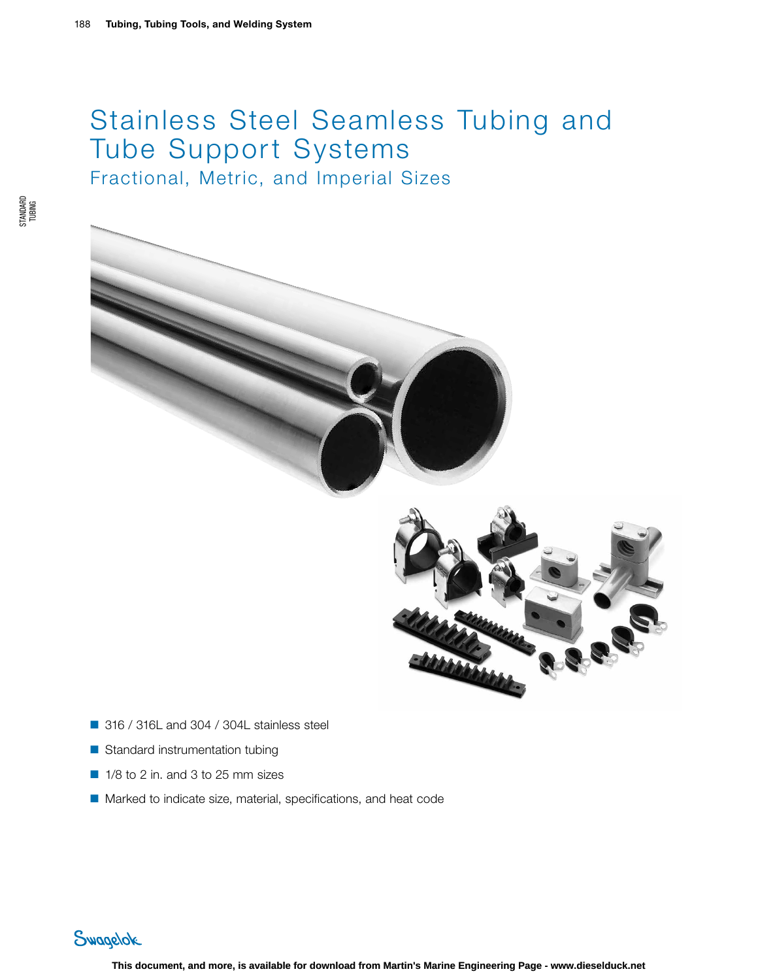# Stainless Steel Seamless Tubing and Tube Support Systems Fractional, Metric, and Imperial Sizes





- 316 / 316L and 304 / 304L stainless steel
- Standard instrumentation tubing
- 1/8 to 2 in. and 3 to 25 mm sizes
- Marked to indicate size, material, specifications, and heat code

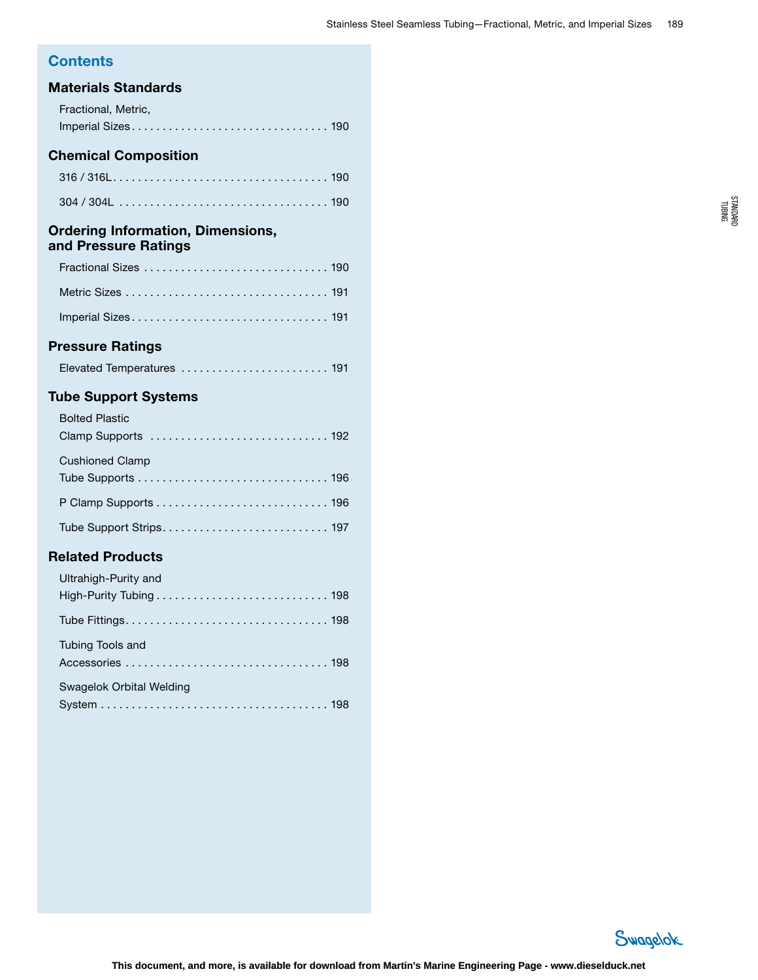# **Contents**

# Materials Standards

| Materials Standards                                              |  |
|------------------------------------------------------------------|--|
| Fractional, Metric,                                              |  |
|                                                                  |  |
| <b>Chemical Composition</b>                                      |  |
|                                                                  |  |
|                                                                  |  |
| <b>Ordering Information, Dimensions,</b><br>and Pressure Ratings |  |
|                                                                  |  |
|                                                                  |  |
|                                                                  |  |
| <b>Pressure Ratings</b>                                          |  |
| Elevated Temperatures  191                                       |  |
| <b>Tube Support Systems</b>                                      |  |
| <b>Bolted Plastic</b>                                            |  |
| Clamp Supports  192                                              |  |
| <b>Cushioned Clamp</b>                                           |  |
|                                                                  |  |
|                                                                  |  |
|                                                                  |  |
| <b>Related Products</b>                                          |  |
| Ultrahigh-Purity and                                             |  |

High-Purity Tubing . . . . . . . . . . . . . . . . . . . . . . . . . . . . 198

Tube Fittings . . . . . . . . . . . . . . . . . . . . . . . . . . . . . . . . . 198

Accessories . . . . . . . . . . . . . . . . . . . . . . . . . . . . . . . . . 198

System . . . . . . . . . . . . . . . . . . . . . . . . . . . . . . . . . . . . . 198

Tubing Tools and

Swagelok Orbital Welding



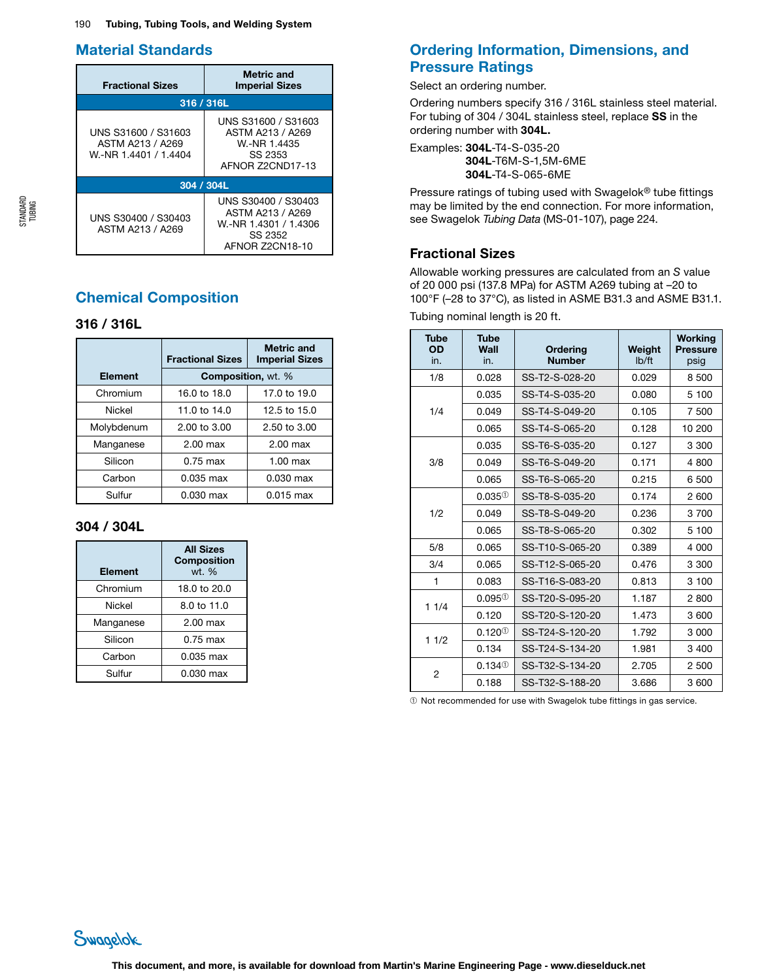# Material Standards

| <b>Fractional Sizes</b>                                          | <b>Metric and</b><br><b>Imperial Sizes</b>                                                     |  |  |  |
|------------------------------------------------------------------|------------------------------------------------------------------------------------------------|--|--|--|
| 316 / 316L                                                       |                                                                                                |  |  |  |
| UNS S31600 / S31603<br>ASTM A213 / A269<br>W.-NR 1.4401 / 1.4404 | UNS S31600 / S31603<br>ASTM A213 / A269<br>W-NR 1.4435<br>SS 2353<br>AFNOR 72CND17-13          |  |  |  |
| 304 / 304L                                                       |                                                                                                |  |  |  |
| UNS S30400 / S30403<br>ASTM A213 / A269                          | UNS S30400 / S30403<br>ASTM A213 / A269<br>W.-NR 1.4301 / 1.4306<br>SS 2352<br>AFNOR 72CN18-10 |  |  |  |

# Chemical Composition

# 316 / 316L

|            | <b>Fractional Sizes</b>   | <b>Metric and</b><br><b>Imperial Sizes</b> |
|------------|---------------------------|--------------------------------------------|
| Element    | <b>Composition, wt. %</b> |                                            |
| Chromium   | 16.0 to 18.0              | 17.0 to 19.0                               |
| Nickel     | 11.0 to 14.0              | 12.5 to 15.0                               |
| Molybdenum | $2.00 \text{ to } 3.00$   | $2.50 \text{ to } 3.00$                    |
| Manganese  | $2.00$ max                | $2.00$ max                                 |
| Silicon    | $0.75$ max                | $1.00$ max                                 |
| Carbon     | $0.035$ max               | $0.030$ max                                |
| Sulfur     | $0.030$ max               | $0.015$ max                                |

# 304 / 304L

| <b>Element</b> | <b>All Sizes</b><br><b>Composition</b><br>wt. % |
|----------------|-------------------------------------------------|
| Chromium       | 18.0 to 20.0                                    |
| <b>Nickel</b>  | 8.0 to 11.0                                     |
| Manganese      | $2.00$ max                                      |
| Silicon        | $0.75$ max                                      |
| Carbon         | 0.035 max                                       |
| Sulfur         | 0.030 max                                       |

# Ordering Information, Dimensions, and Pressure Ratings

Select an ordering number.

Ordering numbers specify 316 / 316L stainless steel material. For tubing of 304 / 304L stainless steel, replace SS in the ordering number with 304L.

Examples: 304L-T4-S-035-20 304L-T6M-S-1,5M-6ME 304L-T4-S-065-6ME

Pressure ratings of tubing used with Swagelok® tube fittings may be limited by the end connection. For more information, see Swagelok *Tubing Data* (MS-01-107), page 224.

# Fractional Sizes

Allowable working pressures are calculated from an *S* value of 20 000 psi (137.8 MPa) for ASTM A269 tubing at –20 to 100°F (–28 to 37°C), as listed in ASME B31.3 and ASME B31.1.

Tubing nominal length is 20 ft.

| <b>Tube</b><br>OD<br>in. | <b>Tube</b><br>Wall<br>in. | Ordering<br><b>Number</b> | Weight<br>Ib/ft | <b>Working</b><br><b>Pressure</b><br>psig |
|--------------------------|----------------------------|---------------------------|-----------------|-------------------------------------------|
| 1/8                      | 0.028                      | SS-T2-S-028-20            | 0.029           | 8 500                                     |
|                          | 0.035                      | SS-T4-S-035-20            | 0.080           | 5 100                                     |
| 1/4                      | 0.049                      | SS-T4-S-049-20            | 0.105           | 7 500                                     |
|                          | 0.065                      | SS-T4-S-065-20            | 0.128           | 10 200                                    |
|                          | 0.035                      | SS-T6-S-035-20            | 0.127           | 3 3 0 0                                   |
| 3/8                      | 0.049                      | SS-T6-S-049-20            | 0.171           | 4 800                                     |
|                          | 0.065                      | SS-T6-S-065-20            | 0.215           | 6 500                                     |
|                          | $0.035^{\circ}$            | SS-T8-S-035-20            | 0.174           | 2 600                                     |
| 1/2                      | 0.049                      | SS-T8-S-049-20            | 0.236           | 3700                                      |
|                          | 0.065                      | SS-T8-S-065-20            | 0.302           | 5 100                                     |
| 5/8                      | 0.065                      | SS-T10-S-065-20           | 0.389           | 4 0 0 0                                   |
| 3/4                      | 0.065                      | SS-T12-S-065-20           | 0.476           | 3 3 0 0                                   |
| $\mathbf{1}$             | 0.083                      | SS-T16-S-083-20           | 0.813           | 3 100                                     |
| 11/4                     | $0.095^{\circ}$            | SS-T20-S-095-20           | 1.187           | 2800                                      |
|                          | 0.120                      | SS-T20-S-120-20           | 1.473           | 3600                                      |
| 11/2                     | $0.120^{0}$                | SS-T24-S-120-20           | 1.792           | 3 0 0 0                                   |
|                          | 0.134                      | SS-T24-S-134-20           | 1.981           | 3 4 0 0                                   |
| $\overline{2}$           | $0.134$ <sup>①</sup>       | SS-T32-S-134-20           | 2.705           | 2 500                                     |
|                          | 0.188                      | SS-T32-S-188-20           | 3.686           | 3 600                                     |

➀ Not recommended for use with Swagelok tube fittings in gas service.

STANDARD TUBING

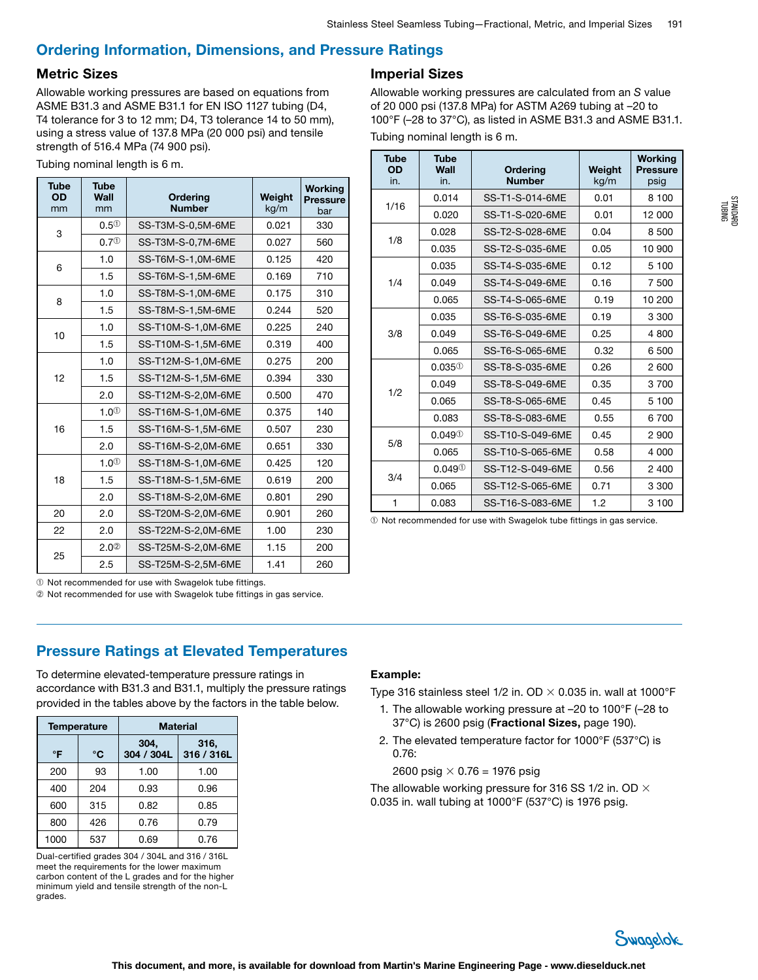# Ordering Information, Dimensions, and Pressure Ratings

## Metric Sizes

Allowable working pressures are based on equations from ASME B31.3 and ASME B31.1 for EN ISO 1127 tubing (D4, T4 tolerance for 3 to 12 mm; D4, T3 tolerance 14 to 50 mm), using a stress value of 137.8 MPa (20 000 psi) and tensile strength of 516.4 MPa (74 900 psi).

| Tubing nominal length is 6 m. |  |  |
|-------------------------------|--|--|
|                               |  |  |

| <b>Tube</b><br><b>OD</b><br>mm | <b>Tube</b><br>Wall<br>mm | <b>Ordering</b><br><b>Number</b> | Weight<br>kg/m | <b>Working</b><br><b>Pressure</b><br>bar |
|--------------------------------|---------------------------|----------------------------------|----------------|------------------------------------------|
| 3                              | $0.5^\circled{1}$         | SS-T3M-S-0,5M-6ME                | 0.021          | 330                                      |
|                                | 0.7 <sup>①</sup>          | SS-T3M-S-0,7M-6ME                | 0.027          | 560                                      |
| 6                              | 1.0                       | SS-T6M-S-1,0M-6ME                | 0.125          | 420                                      |
|                                | 1.5                       | SS-T6M-S-1,5M-6ME                | 0.169          | 710                                      |
| 8                              | 1.0                       | SS-T8M-S-1,0M-6ME                | 0.175          | 310                                      |
|                                | 1.5                       | SS-T8M-S-1,5M-6ME                | 0.244          | 520                                      |
| 10                             | 1.0                       | SS-T10M-S-1,0M-6ME               | 0.225          | 240                                      |
|                                | 1.5                       | SS-T10M-S-1,5M-6ME               | 0.319          | 400                                      |
|                                | 1.0                       | SS-T12M-S-1,0M-6ME               | 0.275          | 200                                      |
| 12                             | 1.5                       | SS-T12M-S-1,5M-6ME               | 0.394          | 330                                      |
|                                | 2.0                       | SS-T12M-S-2,0M-6ME               | 0.500          | 470                                      |
|                                | 1.0 <sup>①</sup>          | SS-T16M-S-1,0M-6ME               | 0.375          | 140                                      |
| 16                             | 1.5                       | SS-T16M-S-1,5M-6ME               | 0.507          | 230                                      |
| 2.0                            |                           | SS-T16M-S-2,0M-6ME               | 0.651          | 330                                      |
|                                | 1.0 <sup>①</sup>          | SS-T18M-S-1,0M-6ME               | 0.425          | 120                                      |
| 18                             | 1.5                       | SS-T18M-S-1,5M-6ME               | 0.619          | 200                                      |
|                                | 2.0                       | SS-T18M-S-2,0M-6ME               | 0.801          | 290                                      |
| 20                             | 2.0                       | SS-T20M-S-2,0M-6ME               | 0.901          | 260                                      |
| 22                             | 2.0                       | SS-T22M-S-2.0M-6ME               | 1.00           | 230                                      |
| 25                             | 2.0 <sup>2</sup>          | SS-T25M-S-2,0M-6ME               | 1.15           | 200                                      |
|                                | 2.5                       | SS-T25M-S-2,5M-6ME               | 1.41           | 260                                      |

# Imperial Sizes

Allowable working pressures are calculated from an *S* value of 20 000 psi (137.8 MPa) for ASTM A269 tubing at –20 to 100°F (–28 to 37°C), as listed in ASME B31.3 and ASME B31.1.

|  | Tubing nominal length is 6 m. |  |  |  |  |
|--|-------------------------------|--|--|--|--|
|--|-------------------------------|--|--|--|--|

| <b>Tube</b><br>OD<br>in. | <b>Tube</b><br>Wall<br>in. | <b>Ordering</b><br><b>Number</b> | Weight<br>kg/m | <b>Working</b><br><b>Pressure</b><br>psig |
|--------------------------|----------------------------|----------------------------------|----------------|-------------------------------------------|
| 1/16                     | 0.014                      | SS-T1-S-014-6ME                  | 0.01           | 8 100                                     |
|                          | 0.020                      | SS-T1-S-020-6ME                  | 0.01           | 12 000                                    |
| 1/8                      | 0.028                      | SS-T2-S-028-6ME                  | 0.04           | 8 500                                     |
|                          | 0.035                      | SS-T2-S-035-6ME                  | 0.05           | 10 900                                    |
|                          | 0.035                      | SS-T4-S-035-6ME                  | 0.12           | 5 100                                     |
| 1/4                      | 0.049                      | SS-T4-S-049-6ME                  | 0.16           | 7 500                                     |
|                          | 0.065                      | SS-T4-S-065-6ME                  | 0.19           | 10 200                                    |
|                          | 0.035                      | SS-T6-S-035-6ME                  | 0.19           | 3 3 0 0                                   |
| 3/8                      | 0.049                      | SS-T6-S-049-6ME                  | 0.25           | 4 800                                     |
|                          | 0.065                      | SS-T6-S-065-6ME                  | 0.32           | 6 500                                     |
|                          | $0.035^{\circ}$            | SS-T8-S-035-6ME                  | 0.26           | 2 600                                     |
| 1/2                      | 0.049                      | SS-T8-S-049-6ME                  | 0.35           | 3700                                      |
|                          | 0.065                      | SS-T8-S-065-6ME                  | 0.45           | 5 100                                     |
|                          | 0.083                      | SS-T8-S-083-6ME                  | 0.55           | 6700                                      |
| 5/8                      | $0.049^{\circ}$            | SS-T10-S-049-6ME                 | 0.45           | 2 900                                     |
|                          | 0.065                      | SS-T10-S-065-6ME                 | 0.58           | 4 0 0 0                                   |
| 3/4                      | $0.049^\circ$              | SS-T12-S-049-6ME                 | 0.56           | 2 400                                     |
|                          | 0.065                      | SS-T12-S-065-6ME                 | 0.71           | 3 3 0 0                                   |
| 1                        | 0.083                      | SS-T16-S-083-6ME                 | 1.2            | 3 100                                     |

➀ Not recommended for use with Swagelok tube fittings in gas service.

➀ Not recommended for use with Swagelok tube fittings.

➁ Not recommended for use with Swagelok tube fittings in gas service.

# Pressure Ratings at Elevated Temperatures

To determine elevated-temperature pressure ratings in accordance with B31.3 and B31.1, multiply the pressure ratings provided in the tables above by the factors in the table below.

| <b>Temperature</b> |     | <b>Material</b>    |                    |  |  |
|--------------------|-----|--------------------|--------------------|--|--|
| °F                 | °C  | 304,<br>304 / 304L | 316,<br>316 / 316L |  |  |
| 200                | 93  | 1.00               | 1.00               |  |  |
| 400                | 204 | 0.93               | 0.96               |  |  |
| 600                | 315 | 0.82               | 0.85               |  |  |
| 800                | 426 | 0.76               | 0.79               |  |  |
| 1000               | 537 | 0.69               | 0.76               |  |  |

Dual-certified grades 304 / 304L and 316 / 316L meet the requirements for the lower maximum carbon content of the L grades and for the higher minimum yield and tensile strength of the non-L grades.

# Example:

Type 316 stainless steel 1/2 in. OD  $\times$  0.035 in. wall at 1000°F

- 1. The allowable working pressure at –20 to 100°F (–28 to 37°C) is 2600 psig (Fractional Sizes, page 190).
- 2. The elevated temperature factor for 1000°F (537°C) is 0.76:

2600 psig  $\times$  0.76 = 1976 psig

The allowable working pressure for 316 SS 1/2 in. OD  $\times$ 0.035 in. wall tubing at 1000°F (537°C) is 1976 psig.

![](_page_3_Picture_23.jpeg)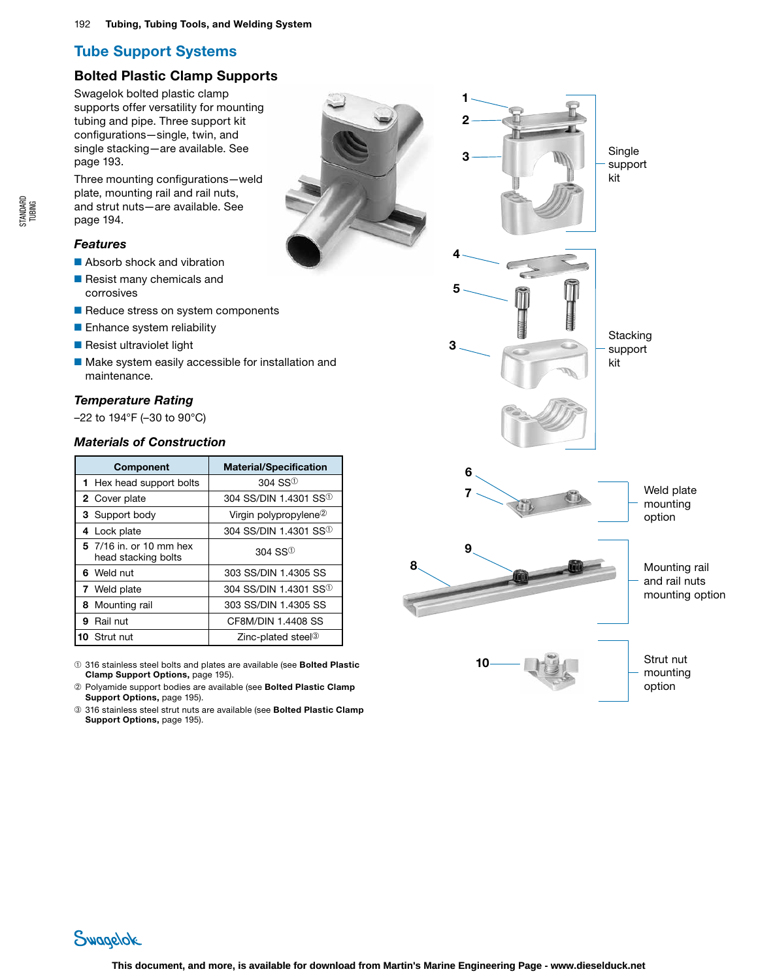# Bolted Plastic Clamp Supports

Swagelok bolted plastic clamp supports offer versatility for mounting tubing and pipe . Three support kit configurations—single, twin, and single stacking—are available . See page 193 .

Three mounting configurations—weld plate, mounting rail and rail nuts, and strut nuts—are available . See page 194 .

# *Features*

- Absorb shock and vibration
- Resist many chemicals and corrosives
- Reduce stress on system components
- Enhance system reliability
- Resist ultraviolet light
- Make system easily accessible for installation and maintenance .

# *Temperature Rating*

–22 to 194°F (–30 to 90°C)

# *Materials of Construction*

| <b>Component</b>                               | <b>Material/Specification</b>          |
|------------------------------------------------|----------------------------------------|
| 1 Hex head support bolts                       | $304$ SS <sup><math>\circ</math></sup> |
| 2 Cover plate                                  | 304 SS/DIN 1.4301 SS <sup>10</sup>     |
| 3 Support body                                 | Virgin polypropylene <sup>2</sup>      |
| 4 Lock plate                                   | 304 SS/DIN 1.4301 SS <sup>10</sup>     |
| 5 7/16 in. or 10 mm hex<br>head stacking bolts | $304$ SS <sup>①</sup>                  |
| 6 Weld nut                                     | 303 SS/DIN 1.4305 SS                   |
| 7 Weld plate                                   | 304 SS/DIN 1.4301 SS <sup>(1)</sup>    |
| 8 Mounting rail                                | 303 SS/DIN 1.4305 SS                   |
| 9 Rail nut                                     | CF8M/DIN 1.4408 SS                     |
| 10 Strut nut                                   | Zinc-plated steel <sup>3</sup>         |

➀ 316 stainless steel bolts and plates are available (see Bolted Plastic Clamp Support Options, page 195) .

- ➁ Polyamide support bodies are available (see Bolted Plastic Clamp Support Options, page 195).
- ➂ 316 stainless steel strut nuts are available (see Bolted Plastic Clamp Support Options, page 195).

![](_page_4_Figure_19.jpeg)

Swagelok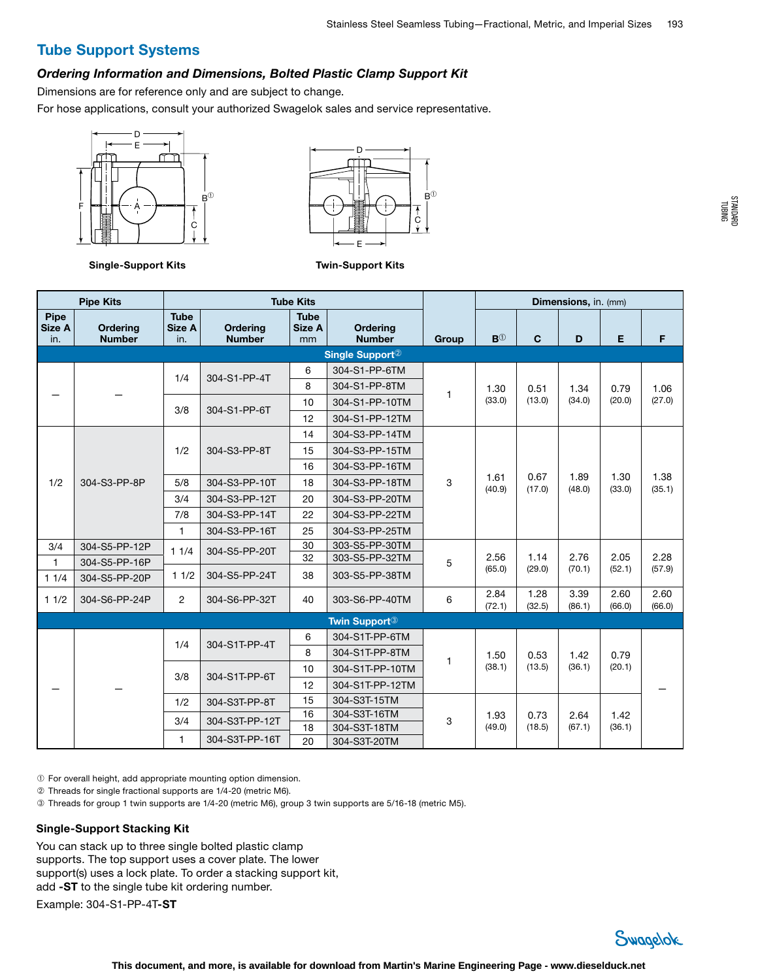#### *Ordering Information and Dimensions, Bolted Plastic Clamp Support Kit*

Dimensions are for reference only and are subject to change.

For hose applications, consult your authorized Swagelok sales and service representative.

![](_page_5_Figure_5.jpeg)

![](_page_5_Figure_6.jpeg)

Twin-Support Kits

Single-Support Kits

Pipe Size A in.

#### Pipe Kits **Tube Kits Group** Dimensions, in. (mm) **Ordering** Number Tube Size A in. **Ordering** Number **Tube** Size A mm **Ordering** Number Group B<sup>①</sup> C D E F Single Support<sup>2</sup> — — 1/4 304-S1-PP-4T 6 304-S1-PP-6TM  $1^{1.30}$ (33.0) 0.51 (13.0) 1.34 (34.0) 0.79 (20.0) 8 304-S1-PP-8TM 3/8 304-S1-PP-6T 10 304-S1-PP-10TM 12 304-S1-PP-12TM 1/2 304-S3-PP-8P 1/2 304-S3-PP-8T 14 304-S3-PP-14TM 3  $1.61$ (40.9) 0.67 (17.0) 1.89 (48.0) 1.30 (33.0) 15 304-S3-PP-15TM 16 304-S3-PP-16TM 5/8 304-S3-PP-10T | 18 304-S3-PP-18TM 3/4 304-S3-PP-12T 20 304-S3-PP-20TM 7/8 304-S3-PP-14T 22 304-S3-PP-22TM 1 304-S3-PP-16T 25 304-S3-PP-25TM 3/4 304-S5-PP-12P 1 1/4 304-S5-PP-20T <sup>30</sup> 32 303-S5-PP-30TM  $303-S5-PP-32TM$  5 2.56 (65.0) 1.14 (29.0) 2.76 (70.1) 2.05 (52.1)  $\frac{304-85-PP-16P}{(52.1)}$   $\frac{32}{(57.9)}$   $\frac{32}{303-33-PP-32+IP}$   $\frac{303-33-PP-22+III}{(55.0)}$   $\frac{2.00}{(29.0)}$   $\frac{1.14}{(70.1)}$   $\frac{2.00}{(70.1)}$   $\frac{2.20}{(57.9)}$   $\frac{2.20}{(57.9)}$ 1 1/4 304-S5-PP-20P 1 1/2 304-S5-PP-24T 38 303-S5-PP-38TM 1 1/2 304-S6-PP-24P 2 304-S6-PP-32T 40 303-S6-PP-40TM 6 2.84 (72.1) 1.28 (32.5) 3.39 (86.1) 2.60 (66.0) Twin Support➂ 1/4 304-S1T-PP-4T 6 304-S1T-PP-6TM

|   |     | 1/4           | 304-S1T-PP-4T  | 6               | 304-S1T-PP-6TM  |        | .50           | 0.53           | 1.42           | 0.79           |  |
|---|-----|---------------|----------------|-----------------|-----------------|--------|---------------|----------------|----------------|----------------|--|
|   |     |               |                | 8               | 304-S1T-PP-8TM  |        |               |                |                |                |  |
| - | 3/8 | 304-S1T-PP-6T | 10             | 304-S1T-PP-10TM |                 | (38.1) | (13.5)        | (36.1)         | (20.1)         |                |  |
|   |     |               |                | 12              | 304-S1T-PP-12TM |        |               |                |                |                |  |
|   |     | 1/2           | 304-S3T-PP-8T  | 15              | 304-S3T-15TM    |        |               |                |                |                |  |
|   |     | 3/4           | 304-S3T-PP-12T | 16              | 304-S3T-16TM    | 3      | .93<br>(49.0) | 0.73<br>(18.5) | 2.64<br>(67.1) | 1.42<br>(36.1) |  |
|   |     |               | 18             |                 | 304-S3T-18TM    |        |               |                |                |                |  |
|   |     |               | 304-S3T-PP-16T | 20              | 304-S3T-20TM    |        |               |                |                |                |  |

➀ For overall height, add appropriate mounting option dimension.

➁ Threads for single fractional supports are 1/4-20 (metric M6).

➂ Threads for group 1 twin supports are 1/4-20 (metric M6), group 3 twin supports are 5/16-18 (metric M5).

#### Single-Support Stacking Kit

You can stack up to three single bolted plastic clamp supports. The top support uses a cover plate. The lower support(s) uses a lock plate. To order a stacking support kit, add -ST to the single tube kit ordering number.

Example: 304-S1-PP-4T-ST

![](_page_5_Picture_16.jpeg)

1.06 (27.0)

1.38 (35.1)

2.28

2.60 (66.0)

—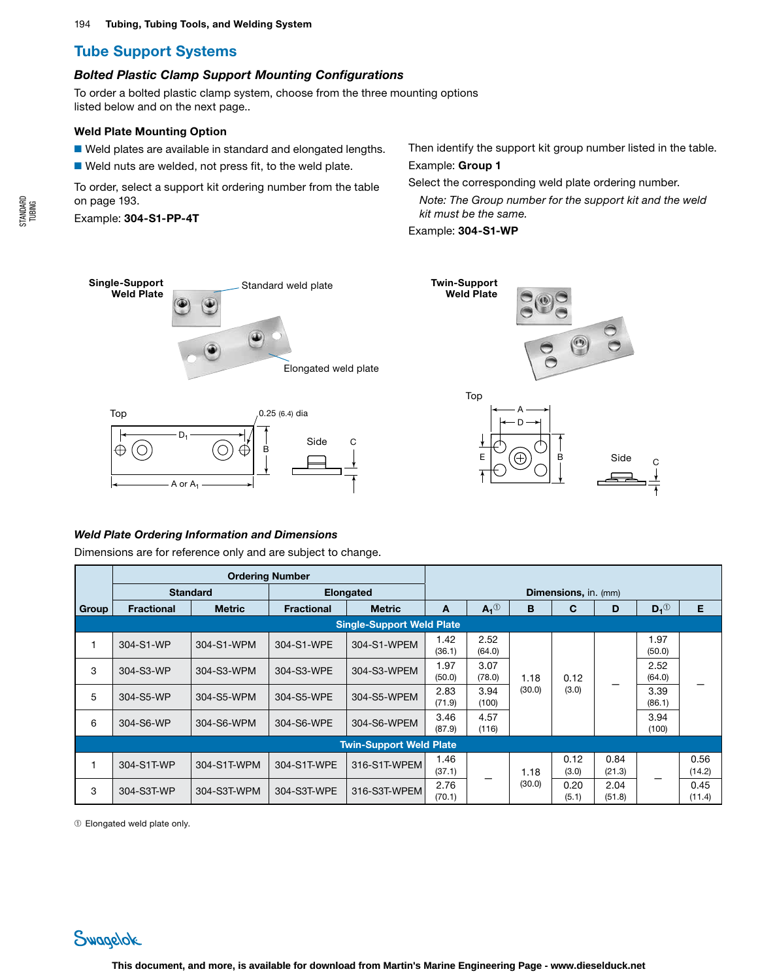#### *Bolted Plastic Clamp Support Mounting Configurations*

To order a bolted plastic clamp system, choose from the three mounting options listed below and on the next page..

#### Weld Plate Mounting Option

■ Weld plates are available in standard and elongated lengths.

■ Weld nuts are welded, not press fit, to the weld plate.

To order, select a support kit ordering number from the table on page 193.

Example: 304-S1-PP-4T

Then identify the support kit group number listed in the table. Example: Group 1

Select the corresponding weld plate ordering number.

*Note: The Group number for the support kit and the weld kit must be the same.* 

Example: 304-S1-WP

![](_page_6_Figure_13.jpeg)

![](_page_6_Figure_14.jpeg)

#### *Weld Plate Ordering Information and Dimensions*

A or  $A_1$ 

Dimensions are for reference only and are subject to change.

|       | <b>Ordering Number</b> |                          |                   |                                  |                             |                |        |               |                                                             |                   |                |
|-------|------------------------|--------------------------|-------------------|----------------------------------|-----------------------------|----------------|--------|---------------|-------------------------------------------------------------|-------------------|----------------|
|       | <b>Standard</b>        |                          | <b>Elongated</b>  |                                  | <b>Dimensions, in. (mm)</b> |                |        |               |                                                             |                   |                |
| Group | <b>Fractional</b>      | <b>Metric</b>            | <b>Fractional</b> | <b>Metric</b>                    | A                           | $A_1^{\odot}$  | B      | С             | D                                                           | $D_1^{\circledR}$ | Е              |
|       |                        |                          |                   | <b>Single-Support Weld Plate</b> |                             |                |        |               |                                                             |                   |                |
| 1     | 304-S1-WP              | 304-S1-WPM               | 304-S1-WPE        | 304-S1-WPEM                      | 1.42<br>(36.1)              | 2.52<br>(64.0) |        |               | 1.97<br>(50.0)<br>2.52<br>(64.0)<br>(3.0)<br>3.39<br>(86.1) |                   |                |
| 3     | 304-S3-WP              | 304-S3-WPM               | 304-S3-WPE        | 304-S3-WPEM                      | 1.97<br>(50.0)              | 3.07<br>(78.0) | 1.18   | 0.12          |                                                             |                   |                |
| 5     | 304-S5-WP              | 304-S5-WPM               | 304-S5-WPE        | 304-S5-WPEM                      | 2.83<br>(71.9)              | 3.94<br>(100)  | (30.0) |               |                                                             |                   |                |
| 6     | 304-S6-WP              | 304-S6-WPM<br>304-S6-WPE | 304-S6-WPEM       | 3.46<br>(87.9)                   | 4.57<br>(116)               |                |        |               | 3.94<br>(100)                                               |                   |                |
|       |                        |                          |                   | <b>Twin-Support Weld Plate</b>   |                             |                |        |               |                                                             |                   |                |
|       | 304-S1T-WP             | 304-S1T-WPM              | 304-S1T-WPE       | 316-S1T-WPEM                     | 1.46<br>(37.1)              |                | 1.18   | 0.12<br>(3.0) | 0.84<br>(21.3)                                              |                   | 0.56<br>(14.2) |
| 3     | 304-S3T-WP             | 304-S3T-WPM              | 304-S3T-WPE       | 316-S3T-WPEM                     | 2.76<br>(70.1)              |                | (30.0) | 0.20<br>(5.1) | 2.04<br>(51.8)                                              |                   | 0.45<br>(11.4) |

➀ Elongated weld plate only.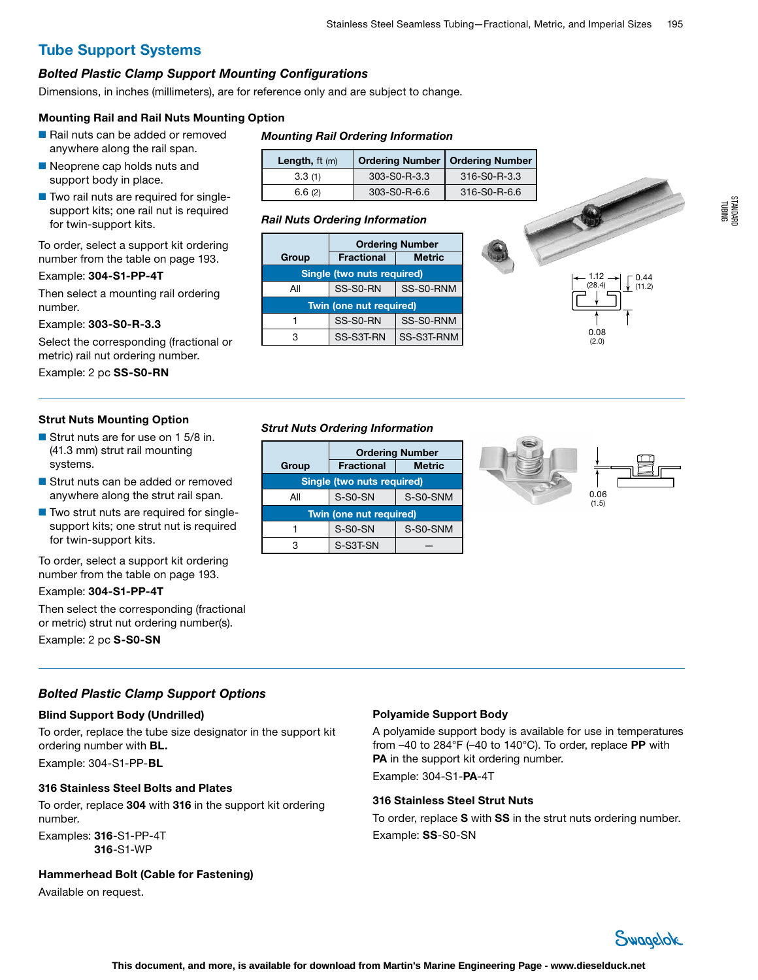#### *Bolted Plastic Clamp Support Mounting Configurations*

Dimensions, in inches (millimeters), are for reference only and are subject to change.

#### Mounting Rail and Rail Nuts Mounting Option

- Rail nuts can be added or removed anywhere along the rail span.
- Neoprene cap holds nuts and support body in place.
- Two rail nuts are required for singlesupport kits; one rail nut is required for twin-support kits.

To order, select a support kit ordering number from the table on page 193.

#### Example: 304-S1-PP-4T

Then select a mounting rail ordering number.

Example: 303-S0-R-3.3

Select the corresponding (fractional or metric) rail nut ordering number.

Example: 2 pc SS-S0-RN

#### Strut Nuts Mounting Option

- Strut nuts are for use on 1 5/8 in. (41.3 mm) strut rail mounting systems.
- Strut nuts can be added or removed anywhere along the strut rail span.
- Two strut nuts are required for singlesupport kits; one strut nut is required for twin-support kits.

To order, select a support kit ordering number from the table on page 193.

#### Example: 304-S1-PP-4T

Then select the corresponding (fractional or metric) strut nut ordering number(s).

Example: 2 pc S-S0-SN

#### *Bolted Plastic Clamp Support Options*

#### Blind Support Body (Undrilled)

To order, replace the tube size designator in the support kit ordering number with BL.

Example: 304-S1-PP-BL

#### 316 Stainless Steel Bolts and Plates

To order, replace 304 with 316 in the support kit ordering number. Examples: 316-S1-PP-4T

316-S1-WP

Hammerhead Bolt (Cable for Fastening)

Available on request.

#### *Mounting Rail Ordering Information*

| Length, $ft(m)$ | Ordering Number   Ordering Number |              |
|-----------------|-----------------------------------|--------------|
| 3.3(1)          | 303-S0-R-3.3                      | 316-S0-R-3.3 |
| 6.6(2)          | 303-S0-R-6.6                      | 316-S0-R-6.6 |

#### *Rail Nuts Ordering Information*

|       |                            | <b>Ordering Number</b> |               |
|-------|----------------------------|------------------------|---------------|
| Group | <b>Fractional</b>          | <b>Metric</b>          |               |
|       | Single (two nuts required) |                        | 1.12          |
| Αll   | SS-S0-RN                   | SS-S0-RNM              | (28.4)        |
|       | Twin (one nut required)    |                        |               |
|       | SS-S0-RN                   | SS-S0-RNM              |               |
| 3     | SS-S3T-RN                  | SS-S3T-RNM             | 0.08<br>(2.0) |

![](_page_7_Picture_35.jpeg)

#### *Strut Nuts Ordering Information*

|       | <b>Ordering Number</b>     |               |  |
|-------|----------------------------|---------------|--|
| Group | <b>Fractional</b>          | <b>Metric</b> |  |
|       | Single (two nuts required) |               |  |
| All   | S-S0-SN                    | S-S0-SNM      |  |
|       | Twin (one nut required)    |               |  |
|       | S-S0-SN                    | S-S0-SNM      |  |
| 3     | S-S3T-SN                   |               |  |

![](_page_7_Figure_38.jpeg)

#### Polyamide Support Body

A polyamide support body is available for use in temperatures from –40 to 284°F (–40 to 140°C). To order, replace PP with PA in the support kit ordering number.

Example: 304-S1-PA-4T

#### 316 Stainless Steel Strut Nuts

To order, replace S with SS in the strut nuts ordering number. Example: SS-S0-SN

![](_page_7_Picture_44.jpeg)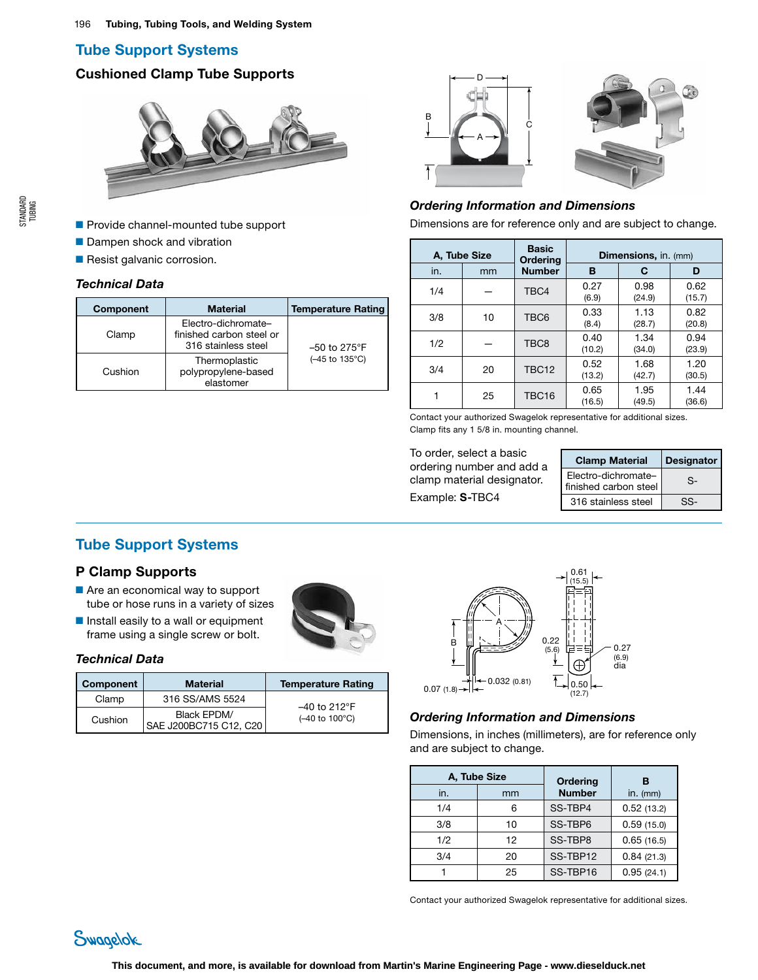# Cushioned Clamp Tube Supports

![](_page_8_Picture_3.jpeg)

- Provide channel-mounted tube support
- Dampen shock and vibration
- Resist galvanic corrosion.

#### *Technical Data*

| <b>Component</b> | <b>Material</b>                                                        | <b>Temperature Rating</b>               |
|------------------|------------------------------------------------------------------------|-----------------------------------------|
| Clamp            | Electro-dichromate-<br>finished carbon steel or<br>316 stainless steel | $-50$ to 275 $\degree$ F                |
| Cushion          | Thermoplastic<br>polypropylene-based<br>elastomer                      | $(-45 \text{ to } 135^{\circ}\text{C})$ |

![](_page_8_Figure_10.jpeg)

# *Ordering Information and Dimensions*

Dimensions are for reference only and are subject to change.

|     | A, Tube Size | <b>Basic</b><br>Ordering | Dimensions, in. (mm) |                |                |
|-----|--------------|--------------------------|----------------------|----------------|----------------|
| in. | mm           | <b>Number</b>            | в                    | С              | D              |
| 1/4 |              | TBC4                     | 0.27<br>(6.9)        | 0.98<br>(24.9) | 0.62<br>(15.7) |
| 3/8 | 10           | TBC6                     | 0.33<br>(8.4)        | 1.13<br>(28.7) | 0.82<br>(20.8) |
| 1/2 |              | TBC <sub>8</sub>         | 0.40<br>(10.2)       | 1.34<br>(34.0) | 0.94<br>(23.9) |
| 3/4 | 20           | <b>TBC12</b>             | 0.52<br>(13.2)       | 1.68<br>(42.7) | 1.20<br>(30.5) |
|     | 25           | TBC16                    | 0.65<br>(16.5)       | 1.95<br>(49.5) | 1.44<br>(36.6) |

Contact your authorized Swagelok representative for additional sizes. Clamp fits any 1 5/8 in. mounting channel.

To order, select a basic ordering number and add a clamp material designator. Example: S-TBC4

| <b>Clamp Material</b>                        | Designator |
|----------------------------------------------|------------|
| Electro-dichromate-<br>finished carbon steel | Տ-         |
| 316 stainless steel                          | SS-        |

# Tube Support Systems

# P Clamp Supports

- Are an economical way to support tube or hose runs in a variety of sizes
- Install easily to a wall or equipment frame using a single screw or bolt.

![](_page_8_Picture_21.jpeg)

## *Technical Data*

| Component | <b>Material</b>                       | <b>Temperature Rating</b>               |
|-----------|---------------------------------------|-----------------------------------------|
| Clamp     | 316 SS/AMS 5524                       | $-40$ to 212°F                          |
| Cushion   | Black EPDM/<br>SAE J200BC715 C12, C20 | $(-40 \text{ to } 100^{\circ}\text{C})$ |

![](_page_8_Figure_24.jpeg)

### *Ordering Information and Dimensions*

Dimensions, in inches (millimeters), are for reference only and are subject to change.

|     | A, Tube Size | Ordering      | в          |
|-----|--------------|---------------|------------|
| in. | mm           | <b>Number</b> | $in.$ (mm) |
| 1/4 | 6            | SS-TBP4       | 0.52(13.2) |
| 3/8 | 10           | SS-TBP6       | 0.59(15.0) |
| 1/2 | 12           | SS-TBP8       | 0.65(16.5) |
| 3/4 | 20           | SS-TBP12      | 0.84(21.3) |
|     | 25           | SS-TBP16      | 0.95(24.1) |

Contact your authorized Swagelok representative for additional sizes.

![](_page_8_Picture_29.jpeg)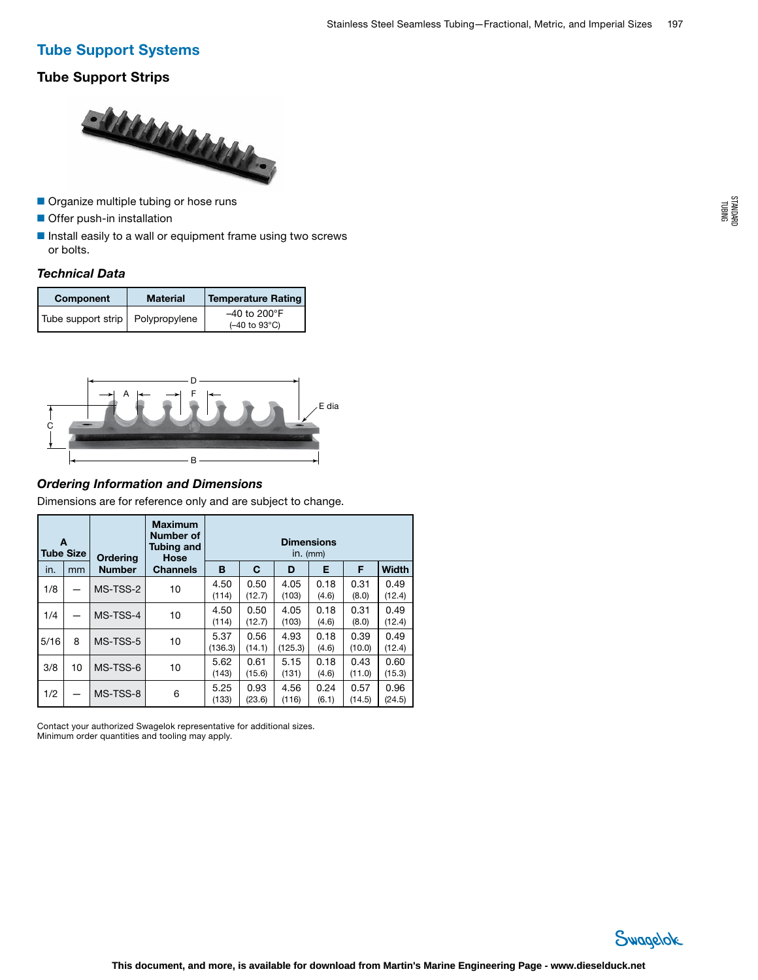# Tube Support Strips

![](_page_9_Picture_3.jpeg)

- Organize multiple tubing or hose runs
- Offer push-in installation
- Install easily to a wall or equipment frame using two screws or bolts.

## *Technical Data*

| Component          | <b>Material</b> | <b>Temperature Rating</b>                                          |
|--------------------|-----------------|--------------------------------------------------------------------|
| Tube support strip | Polypropylene   | $-40$ to 200 $\degree$ F<br>$(-40 \text{ to } 93^{\circ}\text{C})$ |

![](_page_9_Figure_9.jpeg)

# *Ordering Information and Dimensions*

Dimensions are for reference only and are subject to change.

|      | A<br><b>Tube Size</b> | <b>Ordering</b> | <b>Maximum</b><br><b>Number of</b><br><b>Tubing and</b><br>Hose | <b>Dimensions</b><br>$in.$ ( $mm$ ) |                |                 |               |                |                |
|------|-----------------------|-----------------|-----------------------------------------------------------------|-------------------------------------|----------------|-----------------|---------------|----------------|----------------|
| in.  | mm                    | <b>Number</b>   | <b>Channels</b>                                                 | B                                   | C              | D               | Е             | F              | Width          |
| 1/8  |                       | MS-TSS-2        | 10                                                              | 4.50<br>(114)                       | 0.50<br>(12.7) | 4.05<br>(103)   | 0.18<br>(4.6) | 0.31<br>(8.0)  | 0.49<br>(12.4) |
| 1/4  |                       | MS-TSS-4        | 10                                                              | 4.50<br>(114)                       | 0.50<br>(12.7) | 4.05<br>(103)   | 0.18<br>(4.6) | 0.31<br>(8.0)  | 0.49<br>(12.4) |
| 5/16 | 8                     | MS-TSS-5        | 10                                                              | 5.37<br>(136.3)                     | 0.56<br>(14.1) | 4.93<br>(125.3) | 0.18<br>(4.6) | 0.39<br>(10.0) | 0.49<br>(12.4) |
| 3/8  | 10                    | MS-TSS-6        | 10                                                              | 5.62<br>(143)                       | 0.61<br>(15.6) | 5.15<br>(131)   | 0.18<br>(4.6) | 0.43<br>(11.0) | 0.60<br>(15.3) |
| 1/2  |                       | MS-TSS-8        | 6                                                               | 5.25<br>(133)                       | 0.93<br>(23.6) | 4.56<br>(116)   | 0.24<br>(6.1) | 0.57<br>(14.5) | 0.96<br>(24.5) |

Contact your authorized Swagelok representative for additional sizes. Minimum order quantities and tooling may apply.

![](_page_9_Picture_14.jpeg)

STANDARD TUBING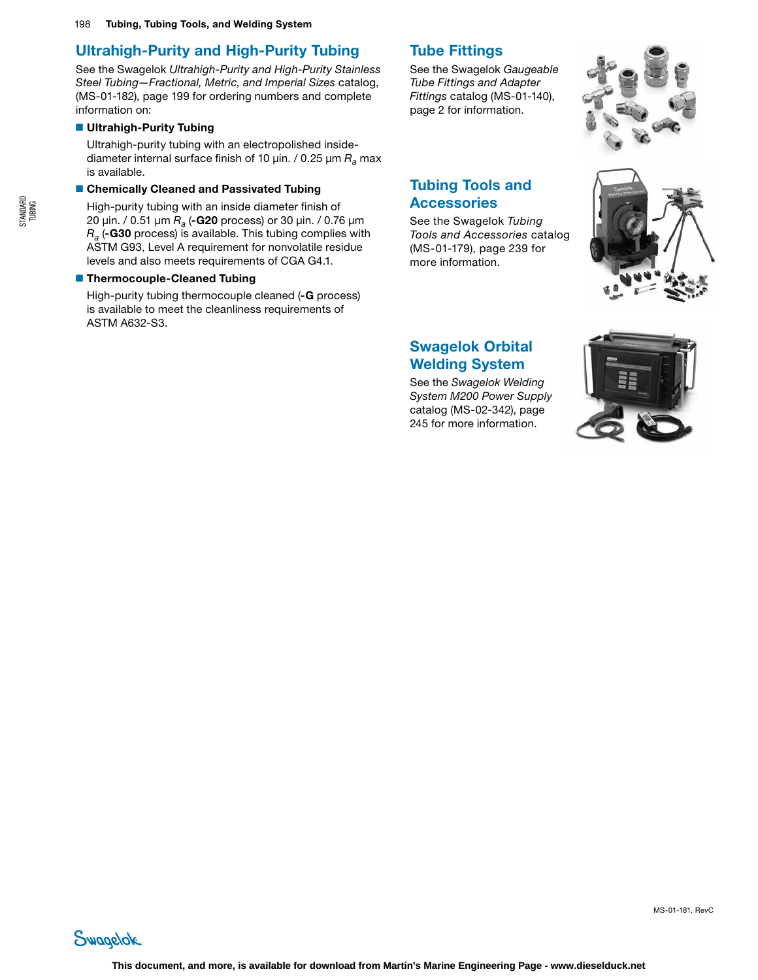# Ultrahigh-Purity and High-Purity Tubing

See the Swagelok *Ultrahigh-Purity and High-Purity Stainless Steel Tubing—Fractional, Metric, and Imperial Sizes* catalog, (MS-01-182), page 199 for ordering numbers and complete information on:

# ■ Ultrahigh-Purity Tubing

Ultrahigh-purity tubing with an electropolished insidediameter internal surface finish of 10 µin. / 0.25 µm *Ra* max is available.

#### ■ Chemically Cleaned and Passivated Tubing

High-purity tubing with an inside diameter finish of 20 µin. / 0.51 µm *Ra* (-G20 process) or 30 µin. / 0.76 µm *Ra* (-G30 process) is available. This tubing complies with ASTM G93, Level A requirement for nonvolatile residue levels and also meets requirements of CGA G4.1.

## ■ Thermocouple-Cleaned Tubing

High-purity tubing thermocouple cleaned (-G process) is available to meet the cleanliness requirements of ASTM A632-S3.

# Tube Fittings

See the Swagelok *Gaugeable Tube Fittings and Adapter Fittings* catalog (MS-01-140), page 2 for information.

![](_page_10_Picture_11.jpeg)

# Tubing Tools and Accessories

See the Swagelok *Tubing Tools and Accessories* catalog (MS-01-179), page 239 for more information.

![](_page_10_Picture_14.jpeg)

# Swagelok Orbital Welding System

See the *Swagelok Welding System M200 Power Supply* catalog (MS-02-342), page 245 for more information.

![](_page_10_Picture_17.jpeg)

Swagelok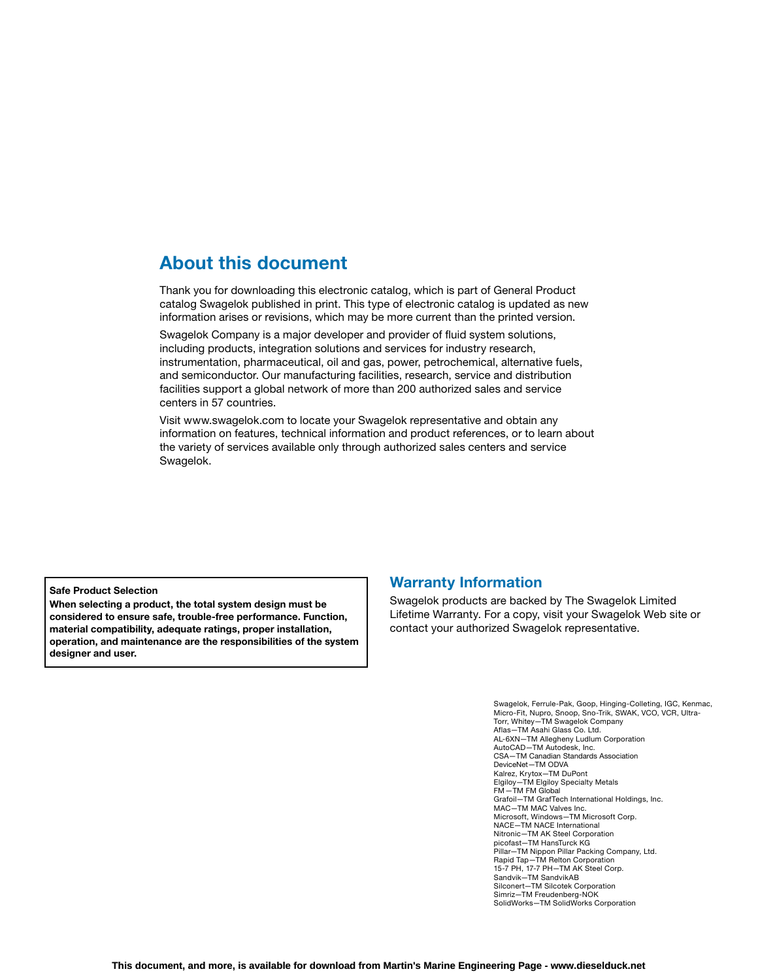# About this document

Thank you for downloading this electronic catalog, which is part of General Product catalog Swagelok published in print. This type of electronic catalog is updated as new information arises or revisions, which may be more current than the printed version.

Swagelok Company is a major developer and provider of fluid system solutions, including products, integration solutions and services for industry research, instrumentation, pharmaceutical, oil and gas, power, petrochemical, alternative fuels, and semiconductor. Our manufacturing facilities, research, service and distribution facilities support a global network of more than 200 authorized sales and service centers in 57 countries.

Visit www.swagelok.com to locate your Swagelok representative and obtain any information on features, technical information and product references, or to learn about the variety of services available only through authorized sales centers and service Swagelok.

Safe Product Selection

When selecting a product, the total system design must be considered to ensure safe, trouble-free performance. Function, material compatibility, adequate ratings, proper installation, operation, and maintenance are the responsibilities of the system designer and user.

# Warranty Information

Swagelok products are backed by The Swagelok Limited Lifetime Warranty. For a copy, visit your Swagelok Web site or contact your authorized Swagelok representative.

> Swagelok, Ferrule-Pak, Goop, Hinging-Colleting, IGC, Kenmac, Micro-Fit, Nupro, Snoop, Sno-Trik, SWAK, VCO, VCR, Ultra-Torr, Whitey—TM Swagelok Company Aflas—TM Asahi Glass Co. Ltd. AL-6XN—TM Allegheny Ludlum Corporation AutoCAD—TM Autodesk, Inc. CSA—TM Canadian Standards Association DeviceNet—TM ODVA Kalrez, Krytox—TM DuPont Elgiloy—TM Elgiloy Specialty Metals FM—TM FM Global Grafoil—TM GrafTech International Holdings, Inc. MAC—TM MAC Valves Inc. Microsoft, Windows—TM Microsoft Corp. NACE—TM NACE International Nitronic—TM AK Steel Corporation picofast—TM HansTurck KG Pillar—TM Nippon Pillar Packing Company, Ltd. Rapid Tap—TM Relton Corporation 15-7 PH, 17-7 PH—TM AK Steel Corp. Sandvik—TM SandvikAB Silconert—TM Silcotek Corporation Simriz—TM Freudenberg-NOK SolidWorks—TM SolidWorks Corporation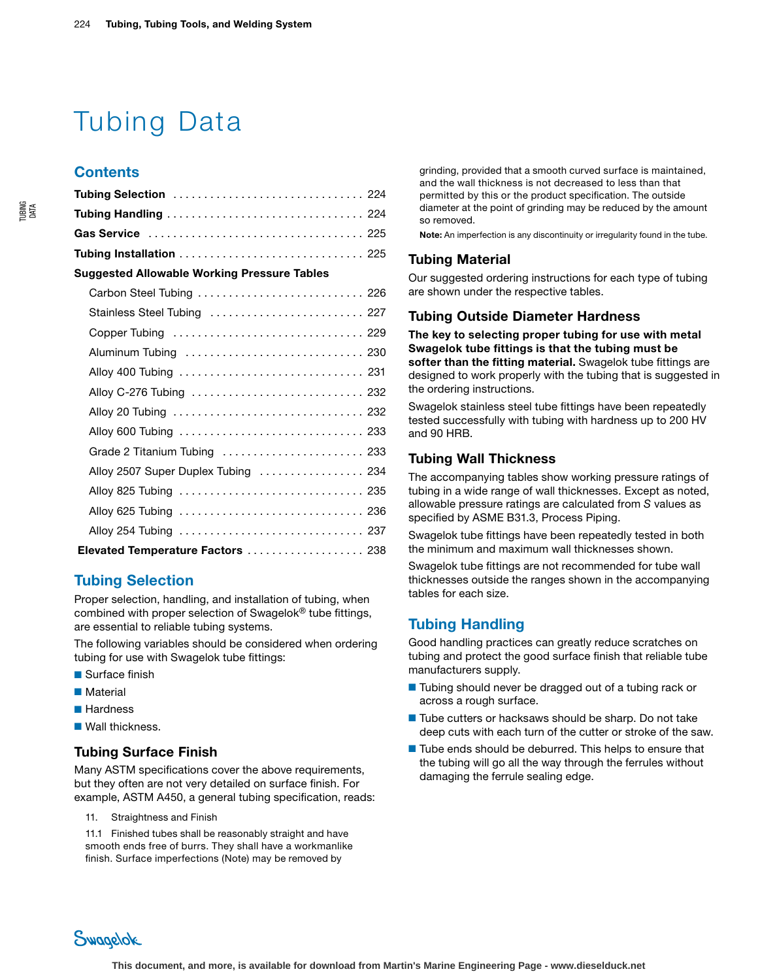# Tubing Data

# **Contents**

| Tubing Selection  224                              |
|----------------------------------------------------|
|                                                    |
|                                                    |
| Tubing Installation  225                           |
| <b>Suggested Allowable Working Pressure Tables</b> |
| Carbon Steel Tubing  226                           |
| Stainless Steel Tubing  227                        |
| Copper Tubing  229                                 |
|                                                    |
|                                                    |
| Alloy C-276 Tubing  232                            |
|                                                    |
|                                                    |
| Grade 2 Titanium Tubing  233                       |
| Alloy 2507 Super Duplex Tubing  234                |
| Alloy 825 Tubing  235                              |
| Alloy 625 Tubing  236                              |
|                                                    |
| Elevated Temperature Factors  238                  |

# Tubing Selection

Proper selection, handling, and installation of tubing, when combined with proper selection of Swagelok® tube fittings, are essential to reliable tubing systems.

The following variables should be considered when ordering tubing for use with Swagelok tube fittings:

- Surface finish
- Material
- Hardness
- Wall thickness

## Tubing Surface Finish

Many ASTM specifications cover the above requirements, but they often are not very detailed on surface finish. For example, ASTM A450, a general tubing specification, reads:

11. Straightness and Finish

11.1 Finished tubes shall be reasonably straight and have smooth ends free of burrs. They shall have a workmanlike finish. Surface imperfections (Note) may be removed by

grinding, provided that a smooth curved surface is maintained, and the wall thickness is not decreased to less than that permitted by this or the product specification. The outside diameter at the point of grinding may be reduced by the amount so removed.

Note: An imperfection is any discontinuity or irregularity found in the tube.

#### Tubing Material

Our suggested ordering instructions for each type of tubing are shown under the respective tables.

#### Tubing Outside Diameter Hardness

The key to selecting proper tubing for use with metal Swagelok tube fittings is that the tubing must be softer than the fitting material. Swagelok tube fittings are designed to work properly with the tubing that is suggested in the ordering instructions.

Swagelok stainless steel tube fittings have been repeatedly tested successfully with tubing with hardness up to 200 HV and 90 HRB.

## Tubing Wall Thickness

The accompanying tables show working pressure ratings of tubing in a wide range of wall thicknesses. Except as noted, allowable pressure ratings are calculated from *S* values as specified by ASME B31.3, Process Piping.

Swagelok tube fittings have been repeatedly tested in both the minimum and maximum wall thicknesses shown.

Swagelok tube fittings are not recommended for tube wall thicknesses outside the ranges shown in the accompanying tables for each size.

# Tubing Handling

Good handling practices can greatly reduce scratches on tubing and protect the good surface finish that reliable tube manufacturers supply.

- Tubing should never be dragged out of a tubing rack or across a rough surface.
- Tube cutters or hacksaws should be sharp. Do not take deep cuts with each turn of the cutter or stroke of the saw.
- Tube ends should be deburred. This helps to ensure that the tubing will go all the way through the ferrules without damaging the ferrule sealing edge.

Swagelok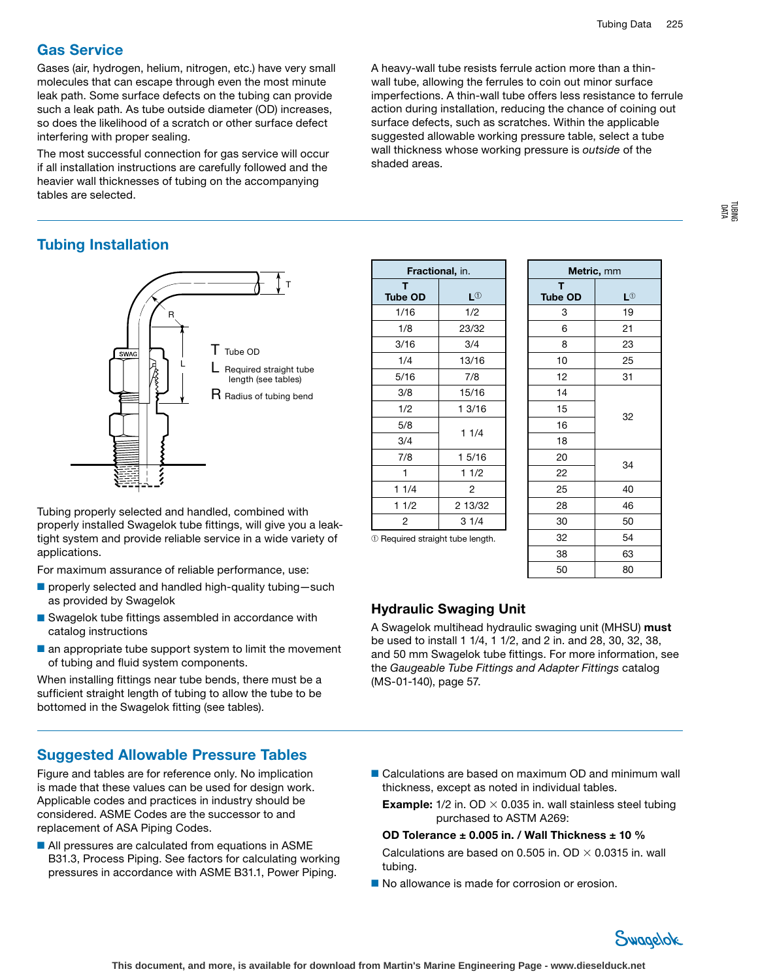TUBING DATA

# Gas Service

Gases (air, hydrogen, helium, nitrogen, etc.) have very small molecules that can escape through even the most minute leak path. Some surface defects on the tubing can provide such a leak path. As tube outside diameter (OD) increases, so does the likelihood of a scratch or other surface defect interfering with proper sealing.

The most successful connection for gas service will occur if all installation instructions are carefully followed and the heavier wall thicknesses of tubing on the accompanying tables are selected.

A heavy-wall tube resists ferrule action more than a thinwall tube, allowing the ferrules to coin out minor surface imperfections. A thin-wall tube offers less resistance to ferrule action during installation, reducing the chance of coining out surface defects, such as scratches. Within the applicable suggested allowable working pressure table, select a tube wall thickness whose working pressure is *outside* of the shaded areas.

# Tubing Installation

![](_page_13_Figure_6.jpeg)

Tubing properly selected and handled, combined with properly installed Swagelok tube fittings, will give you a leaktight system and provide reliable service in a wide variety of applications.

For maximum assurance of reliable performance, use:

- properly selected and handled high-quality tubing-such as provided by Swagelok
- Swagelok tube fittings assembled in accordance with catalog instructions
- an appropriate tube support system to limit the movement of tubing and fluid system components.

When installing fittings near tube bends, there must be a sufficient straight length of tubing to allow the tube to be bottomed in the Swagelok fitting (see tables).

# Suggested Allowable Pressure Tables

Figure and tables are for reference only. No implication is made that these values can be used for design work. Applicable codes and practices in industry should be considered. ASME Codes are the successor to and replacement of ASA Piping Codes.

■ All pressures are calculated from equations in ASME B31.3, Process Piping. See factors for calculating working pressures in accordance with ASME B31.1, Power Piping.

| <b>Fractional, in.</b><br>т |  |  |  |  |  |  |  |  |
|-----------------------------|--|--|--|--|--|--|--|--|
| L①                          |  |  |  |  |  |  |  |  |
| 1/2                         |  |  |  |  |  |  |  |  |
| 23/32                       |  |  |  |  |  |  |  |  |
| 3/4                         |  |  |  |  |  |  |  |  |
| 13/16                       |  |  |  |  |  |  |  |  |
| 7/8                         |  |  |  |  |  |  |  |  |
| 15/16                       |  |  |  |  |  |  |  |  |
| 1 3/16                      |  |  |  |  |  |  |  |  |
|                             |  |  |  |  |  |  |  |  |
| 11/4                        |  |  |  |  |  |  |  |  |
| 1 5/16                      |  |  |  |  |  |  |  |  |
| 11/2                        |  |  |  |  |  |  |  |  |
| 2                           |  |  |  |  |  |  |  |  |
| 2 13/32                     |  |  |  |  |  |  |  |  |
| 31/4                        |  |  |  |  |  |  |  |  |
|                             |  |  |  |  |  |  |  |  |

| Metric, mm     |           |  |  |  |  |  |  |  |  |  |  |
|----------------|-----------|--|--|--|--|--|--|--|--|--|--|
| T              |           |  |  |  |  |  |  |  |  |  |  |
| <b>Tube OD</b> | $L^{(j)}$ |  |  |  |  |  |  |  |  |  |  |
| 3              | 19        |  |  |  |  |  |  |  |  |  |  |
| 6              | 21        |  |  |  |  |  |  |  |  |  |  |
| 8              | 23        |  |  |  |  |  |  |  |  |  |  |
| 10             | 25        |  |  |  |  |  |  |  |  |  |  |
| 12             | 31        |  |  |  |  |  |  |  |  |  |  |
| 14             |           |  |  |  |  |  |  |  |  |  |  |
| 15             |           |  |  |  |  |  |  |  |  |  |  |
| 16             | 32        |  |  |  |  |  |  |  |  |  |  |
| 18             |           |  |  |  |  |  |  |  |  |  |  |
| 20             | 34        |  |  |  |  |  |  |  |  |  |  |
| 22             |           |  |  |  |  |  |  |  |  |  |  |
| 25             | 40        |  |  |  |  |  |  |  |  |  |  |
| 28             | 46        |  |  |  |  |  |  |  |  |  |  |
| 30             | 50        |  |  |  |  |  |  |  |  |  |  |
| 32             | 54        |  |  |  |  |  |  |  |  |  |  |
| 38             | 63        |  |  |  |  |  |  |  |  |  |  |
| 50             | 80        |  |  |  |  |  |  |  |  |  |  |

# Hydraulic Swaging Unit

A Swagelok multihead hydraulic swaging unit (MHSU) must be used to install 1 1/4, 1 1/2, and 2 in. and 28, 30, 32, 38, and 50 mm Swagelok tube fittings. For more information, see the *Gaugeable Tube Fittings and Adapter Fittings* catalog (MS-01-140), page 57.

- Calculations are based on maximum OD and minimum wall thickness, except as noted in individual tables.
	- **Example:**  $1/2$  in. OD  $\times$  0.035 in. wall stainless steel tubing purchased to ASTM A269:

#### OD Tolerance  $\pm$  0.005 in. / Wall Thickness  $\pm$  10 %

Calculations are based on 0.505 in. OD  $\times$  0.0315 in. wall tubing.

■ No allowance is made for corrosion or erosion.

![](_page_13_Picture_25.jpeg)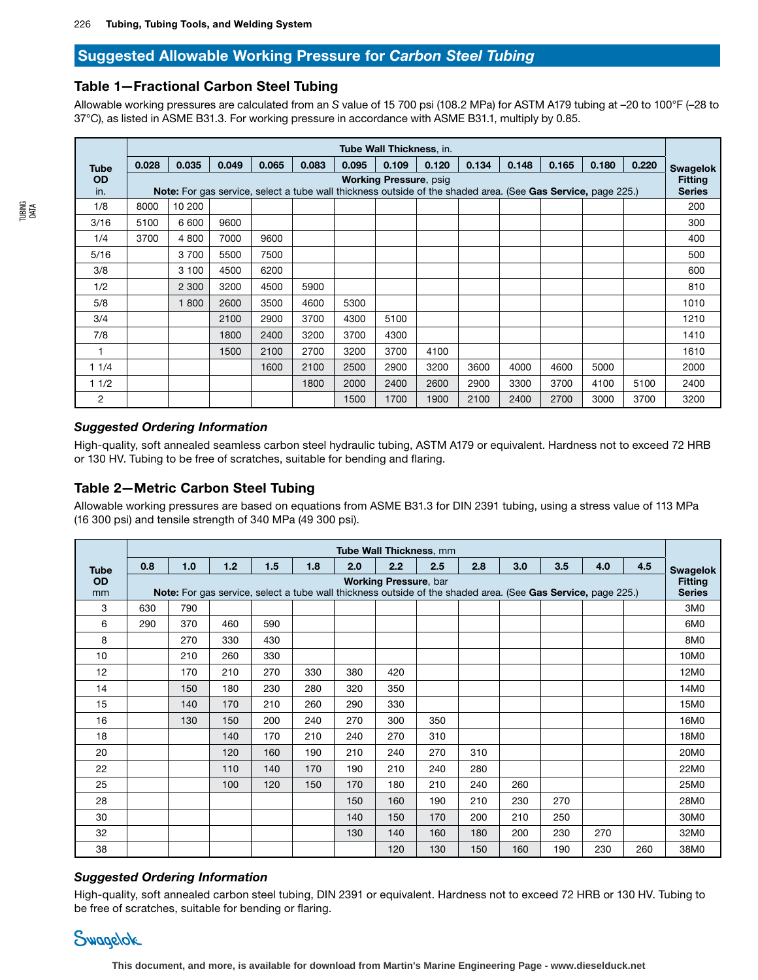# Suggested Allowable Working Pressure for *Carbon Steel Tubing*

## Table 1—Fractional Carbon Steel Tubing

Allowable working pressures are calculated from an *S* value of 15 700 psi (108.2 MPa) for ASTM A179 tubing at –20 to 100°F (–28 to 37°C), as listed in ASME B31.3. For working pressure in accordance with ASME B31.1, multiply by 0.85.

|             | Tube Wall Thickness, in. |                                                                                                                     |       |       |       |       |                               |       |       |       |       |       |       |                 |
|-------------|--------------------------|---------------------------------------------------------------------------------------------------------------------|-------|-------|-------|-------|-------------------------------|-------|-------|-------|-------|-------|-------|-----------------|
| <b>Tube</b> | 0.028                    | 0.035                                                                                                               | 0.049 | 0.065 | 0.083 | 0.095 | 0.109                         | 0.120 | 0.134 | 0.148 | 0.165 | 0.180 | 0.220 | <b>Swagelok</b> |
| <b>OD</b>   |                          |                                                                                                                     |       |       |       |       | <b>Working Pressure, psig</b> |       |       |       |       |       |       | <b>Fitting</b>  |
| in.         |                          | <b>Note:</b> For gas service, select a tube wall thickness outside of the shaded area. (See Gas Service, page 225.) |       |       |       |       |                               |       |       |       |       |       |       | <b>Series</b>   |
| 1/8         | 8000                     | 10 200                                                                                                              |       |       |       |       |                               |       |       |       |       |       |       | 200             |
| 3/16        | 5100                     | 6 600                                                                                                               | 9600  |       |       |       |                               |       |       |       |       |       |       | 300             |
| 1/4         | 3700                     | 4 800                                                                                                               | 7000  | 9600  |       |       |                               |       |       |       |       |       |       | 400             |
| 5/16        |                          | 3 700                                                                                                               | 5500  | 7500  |       |       |                               |       |       |       |       |       |       | 500             |
| 3/8         |                          | 3 100                                                                                                               | 4500  | 6200  |       |       |                               |       |       |       |       |       |       | 600             |
| 1/2         |                          | 2 3 0 0                                                                                                             | 3200  | 4500  | 5900  |       |                               |       |       |       |       |       |       | 810             |
| 5/8         |                          | 1800                                                                                                                | 2600  | 3500  | 4600  | 5300  |                               |       |       |       |       |       |       | 1010            |
| 3/4         |                          |                                                                                                                     | 2100  | 2900  | 3700  | 4300  | 5100                          |       |       |       |       |       |       | 1210            |
| 7/8         |                          |                                                                                                                     | 1800  | 2400  | 3200  | 3700  | 4300                          |       |       |       |       |       |       | 1410            |
|             |                          |                                                                                                                     | 1500  | 2100  | 2700  | 3200  | 3700                          | 4100  |       |       |       |       |       | 1610            |
| 11/4        |                          |                                                                                                                     |       | 1600  | 2100  | 2500  | 2900                          | 3200  | 3600  | 4000  | 4600  | 5000  |       | 2000            |
| 11/2        |                          |                                                                                                                     |       |       | 1800  | 2000  | 2400                          | 2600  | 2900  | 3300  | 3700  | 4100  | 5100  | 2400            |
| 2           |                          |                                                                                                                     |       |       |       | 1500  | 1700                          | 1900  | 2100  | 2400  | 2700  | 3000  | 3700  | 3200            |

#### *Suggested Ordering Information*

High-quality, soft annealed seamless carbon steel hydraulic tubing, ASTM A179 or equivalent. Hardness not to exceed 72 HRB or 130 HV. Tubing to be free of scratches, suitable for bending and flaring.

## Table 2—Metric Carbon Steel Tubing

Allowable working pressures are based on equations from ASME B31.3 for DIN 2391 tubing, using a stress value of 113 MPa (16 300 psi) and tensile strength of 340 MPa (49 300 psi).

|             | Tube Wall Thickness, mm |     |     |     |     |                                                                                                              |                              |     |     |     |     |     |     |                 |
|-------------|-------------------------|-----|-----|-----|-----|--------------------------------------------------------------------------------------------------------------|------------------------------|-----|-----|-----|-----|-----|-----|-----------------|
| <b>Tube</b> | 0.8                     | 1.0 | 1.2 | 1.5 | 1.8 | 2.0                                                                                                          | 2.2                          | 2.5 | 2.8 | 3.0 | 3.5 | 4.0 | 4.5 | <b>Swagelok</b> |
| <b>OD</b>   |                         |     |     |     |     |                                                                                                              | <b>Working Pressure, bar</b> |     |     |     |     |     |     | <b>Fitting</b>  |
| mm          |                         |     |     |     |     | Note: For gas service, select a tube wall thickness outside of the shaded area. (See Gas Service, page 225.) |                              |     |     |     |     |     |     | <b>Series</b>   |
| 3           | 630                     | 790 |     |     |     |                                                                                                              |                              |     |     |     |     |     |     | 3M <sub>0</sub> |
| 6           | 290                     | 370 | 460 | 590 |     |                                                                                                              |                              |     |     |     |     |     |     | 6M <sub>0</sub> |
| 8           |                         | 270 | 330 | 430 |     |                                                                                                              |                              |     |     |     |     |     |     | 8M0             |
| 10          |                         | 210 | 260 | 330 |     |                                                                                                              |                              |     |     |     |     |     |     | 10M0            |
| 12          |                         | 170 | 210 | 270 | 330 | 380                                                                                                          | 420                          |     |     |     |     |     |     | 12M0            |
| 14          |                         | 150 | 180 | 230 | 280 | 320                                                                                                          | 350                          |     |     |     |     |     |     | 14M0            |
| 15          |                         | 140 | 170 | 210 | 260 | 290                                                                                                          | 330                          |     |     |     |     |     |     | 15M0            |
| 16          |                         | 130 | 150 | 200 | 240 | 270                                                                                                          | 300                          | 350 |     |     |     |     |     | 16M0            |
| 18          |                         |     | 140 | 170 | 210 | 240                                                                                                          | 270                          | 310 |     |     |     |     |     | 18M0            |
| 20          |                         |     | 120 | 160 | 190 | 210                                                                                                          | 240                          | 270 | 310 |     |     |     |     | 20M0            |
| 22          |                         |     | 110 | 140 | 170 | 190                                                                                                          | 210                          | 240 | 280 |     |     |     |     | 22M0            |
| 25          |                         |     | 100 | 120 | 150 | 170                                                                                                          | 180                          | 210 | 240 | 260 |     |     |     | 25M0            |
| 28          |                         |     |     |     |     | 150                                                                                                          | 160                          | 190 | 210 | 230 | 270 |     |     | 28M0            |
| 30          |                         |     |     |     |     | 140                                                                                                          | 150                          | 170 | 200 | 210 | 250 |     |     | 30M0            |
| 32          |                         |     |     |     |     | 130                                                                                                          | 140                          | 160 | 180 | 200 | 230 | 270 |     | 32M0            |
| 38          |                         |     |     |     |     |                                                                                                              | 120                          | 130 | 150 | 160 | 190 | 230 | 260 | 38M0            |

#### *Suggested Ordering Information*

High-quality, soft annealed carbon steel tubing, DIN 2391 or equivalent. Hardness not to exceed 72 HRB or 130 HV. Tubing to be free of scratches, suitable for bending or flaring.

![](_page_14_Picture_12.jpeg)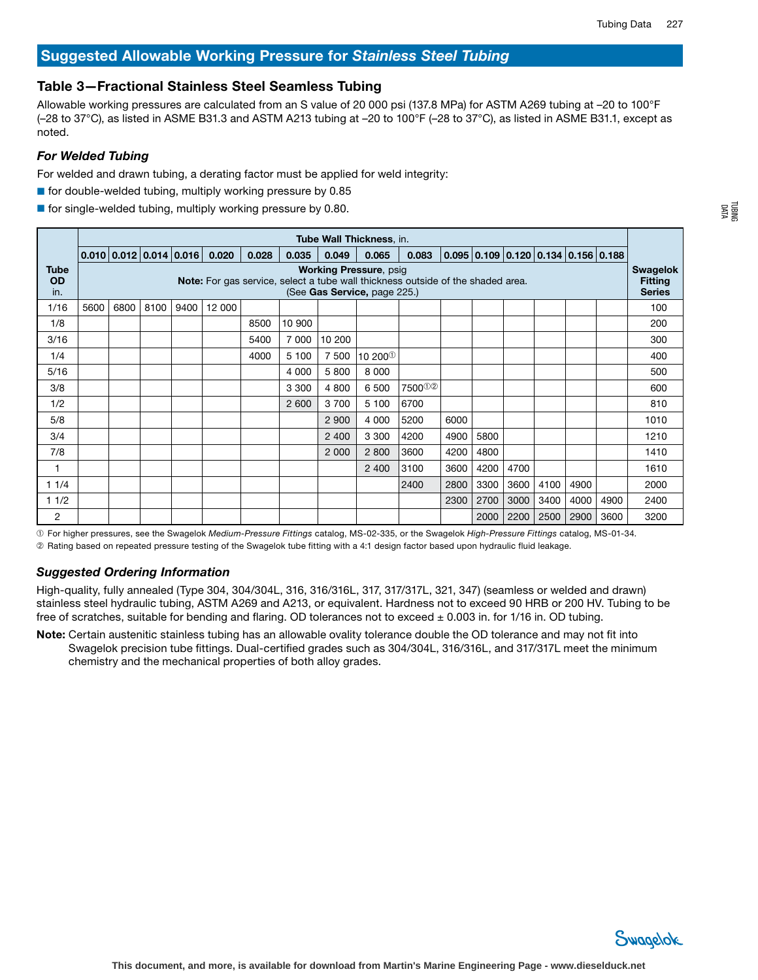# Suggested Allowable Working Pressure for *Stainless Steel Tubing*

# Table 3—Fractional Stainless Steel Seamless Tubing

Allowable working pressures are calculated from an S value of 20 000 psi (137.8 MPa) for ASTM A269 tubing at –20 to 100°F (–28 to 37°C), as listed in ASME B31.3 and ASTM A213 tubing at –20 to 100°F (–28 to 37°C), as listed in ASME B31.1, except as noted.

# *For Welded Tubing*

For welded and drawn tubing, a derating factor must be applied for weld integrity:

- for double-welded tubing, multiply working pressure by 0.85
- $\blacksquare$  for single-welded tubing, multiply working pressure by 0.80.

|                          | Tube Wall Thickness, in. |      |      |                         |        |       |         |         |                                                                                                                  |                    |      |      |      |      |                                       |      |                                   |
|--------------------------|--------------------------|------|------|-------------------------|--------|-------|---------|---------|------------------------------------------------------------------------------------------------------------------|--------------------|------|------|------|------|---------------------------------------|------|-----------------------------------|
|                          |                          |      |      | 0.010 0.012 0.014 0.016 | 0.020  | 0.028 | 0.035   | 0.049   | 0.065                                                                                                            | 0.083              |      |      |      |      | $0.095$ 0.109 0.120 0.134 0.156 0.188 |      |                                   |
| <b>Tube</b><br><b>OD</b> |                          |      |      |                         |        |       |         |         | <b>Working Pressure, psig</b><br>Note: For gas service, select a tube wall thickness outside of the shaded area. |                    |      |      |      |      |                                       |      | <b>Swagelok</b><br><b>Fitting</b> |
| in.                      |                          |      |      |                         |        |       |         |         | (See Gas Service, page 225.)                                                                                     |                    |      |      |      |      |                                       |      | <b>Series</b>                     |
| 1/16                     | 5600                     | 6800 | 8100 | 9400                    | 12 000 |       |         |         |                                                                                                                  |                    |      |      |      |      |                                       |      | 100                               |
| 1/8                      |                          |      |      |                         |        | 8500  | 10 900  |         |                                                                                                                  |                    |      |      |      |      |                                       |      | 200                               |
| 3/16                     |                          |      |      |                         |        | 5400  | 7 000   | 10 200  |                                                                                                                  |                    |      |      |      |      |                                       |      | 300                               |
| 1/4                      |                          |      |      |                         |        | 4000  | 5 100   | 7 500   | $^{\prime}$ 10 200 $^{\circ}$ (                                                                                  |                    |      |      |      |      |                                       |      | 400                               |
| 5/16                     |                          |      |      |                         |        |       | 4 0 0 0 | 5 800   | 8 0 0 0                                                                                                          |                    |      |      |      |      |                                       |      | 500                               |
| 3/8                      |                          |      |      |                         |        |       | 3 3 0 0 | 4 800   | 6 500                                                                                                            | 7500 <sup>02</sup> |      |      |      |      |                                       |      | 600                               |
| 1/2                      |                          |      |      |                         |        |       | 2 600   | 3 700   | 5 100                                                                                                            | 6700               |      |      |      |      |                                       |      | 810                               |
| 5/8                      |                          |      |      |                         |        |       |         | 2 9 0 0 | 4 0 0 0                                                                                                          | 5200               | 6000 |      |      |      |                                       |      | 1010                              |
| 3/4                      |                          |      |      |                         |        |       |         | 2 4 0 0 | 3 3 0 0                                                                                                          | 4200               | 4900 | 5800 |      |      |                                       |      | 1210                              |
| 7/8                      |                          |      |      |                         |        |       |         | 2 0 0 0 | 2 800                                                                                                            | 3600               | 4200 | 4800 |      |      |                                       |      | 1410                              |
|                          |                          |      |      |                         |        |       |         |         | 2 4 0 0                                                                                                          | 3100               | 3600 | 4200 | 4700 |      |                                       |      | 1610                              |
| 11/4                     |                          |      |      |                         |        |       |         |         |                                                                                                                  | 2400               | 2800 | 3300 | 3600 | 4100 | 4900                                  |      | 2000                              |
| 1/2                      |                          |      |      |                         |        |       |         |         |                                                                                                                  |                    | 2300 | 2700 | 3000 | 3400 | 4000                                  | 4900 | 2400                              |
| 2                        |                          |      |      |                         |        |       |         |         |                                                                                                                  |                    |      | 2000 | 2200 | 2500 | 2900                                  | 3600 | 3200                              |

➀ For higher pressures, see the Swagelok *Medium-Pressure Fittings* catalog, MS-02-335, or the Swagelok *High-Pressure Fittings* catalog, MS-01-34. ➁ Rating based on repeated pressure testing of the Swagelok tube fitting with a 4:1 design factor based upon hydraulic fluid leakage.

# *Suggested Ordering Information*

High-quality, fully annealed (Type 304, 304/304L, 316, 316/316L, 317, 317/317L, 321, 347) (seamless or welded and drawn) stainless steel hydraulic tubing, ASTM A269 and A213, or equivalent. Hardness not to exceed 90 HRB or 200 HV. Tubing to be free of scratches, suitable for bending and flaring. OD tolerances not to exceed  $\pm$  0.003 in. for 1/16 in. OD tubing.

Note: Certain austenitic stainless tubing has an allowable ovality tolerance double the OD tolerance and may not fit into Swagelok precision tube fittings. Dual-certified grades such as 304/304L, 316/316L, and 317/317L meet the minimum chemistry and the mechanical properties of both alloy grades.

![](_page_15_Picture_13.jpeg)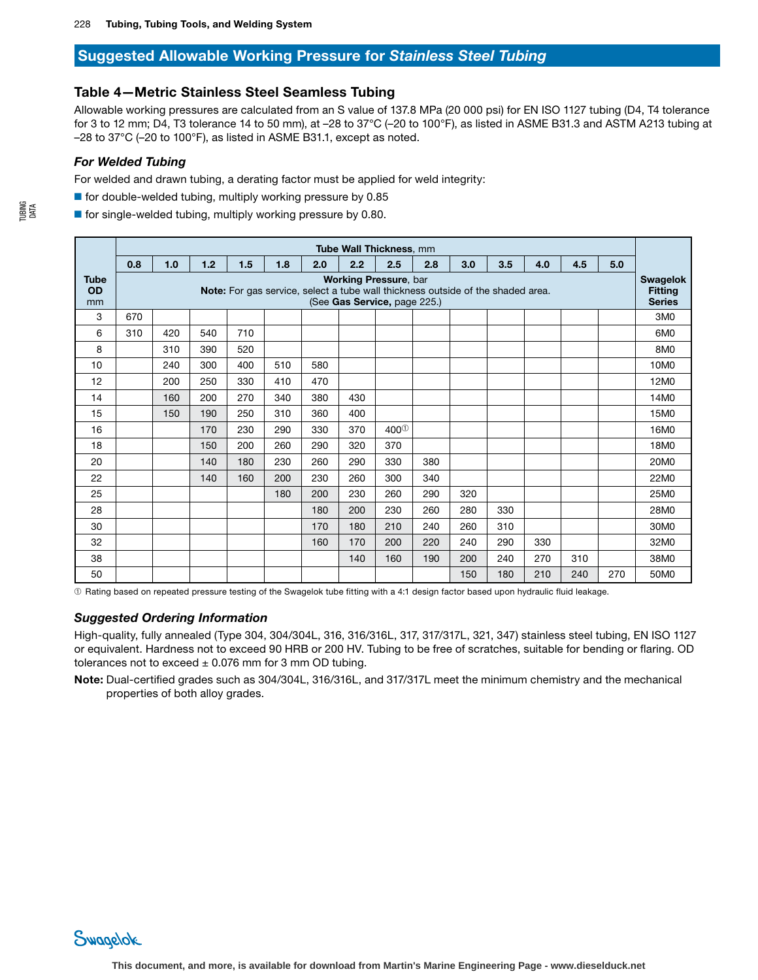# Suggested Allowable Working Pressure for *Stainless Steel Tubing*

## Table 4—Metric Stainless Steel Seamless Tubing

Allowable working pressures are calculated from an S value of 137.8 MPa (20 000 psi) for EN ISO 1127 tubing (D4, T4 tolerance for 3 to 12 mm; D4, T3 tolerance 14 to 50 mm), at –28 to 37°C (–20 to 100°F), as listed in ASME B31.3 and ASTM A213 tubing at –28 to 37°C (–20 to 100°F), as listed in ASME B31.1, except as noted.

#### *For Welded Tubing*

For welded and drawn tubing, a derating factor must be applied for weld integrity:

 $\blacksquare$  for double-welded tubing, multiply working pressure by 0.85

 $\blacksquare$  for single-welded tubing, multiply working pressure by 0.80.

|                                | Tube Wall Thickness, mm |     |     |     |     |     |     |                                                                                                                                                 |     |     |     |     |     |     |                                                    |
|--------------------------------|-------------------------|-----|-----|-----|-----|-----|-----|-------------------------------------------------------------------------------------------------------------------------------------------------|-----|-----|-----|-----|-----|-----|----------------------------------------------------|
|                                | 0.8                     | 1.0 | 1.2 | 1.5 | 1.8 | 2.0 | 2.2 | 2.5                                                                                                                                             | 2.8 | 3.0 | 3.5 | 4.0 | 4.5 | 5.0 |                                                    |
| <b>Tube</b><br><b>OD</b><br>mm |                         |     |     |     |     |     |     | <b>Working Pressure, bar</b><br>Note: For gas service, select a tube wall thickness outside of the shaded area.<br>(See Gas Service, page 225.) |     |     |     |     |     |     | <b>Swagelok</b><br><b>Fitting</b><br><b>Series</b> |
| 3                              | 670                     |     |     |     |     |     |     |                                                                                                                                                 |     |     |     |     |     |     | 3M <sub>0</sub>                                    |
| 6                              | 310                     | 420 | 540 | 710 |     |     |     |                                                                                                                                                 |     |     |     |     |     |     | 6M <sub>0</sub>                                    |
| 8                              |                         | 310 | 390 | 520 |     |     |     |                                                                                                                                                 |     |     |     |     |     |     | 8M0                                                |
| 10                             |                         | 240 | 300 | 400 | 510 | 580 |     |                                                                                                                                                 |     |     |     |     |     |     | 10M0                                               |
| 12                             |                         | 200 | 250 | 330 | 410 | 470 |     |                                                                                                                                                 |     |     |     |     |     |     | 12M0                                               |
| 14                             |                         | 160 | 200 | 270 | 340 | 380 | 430 |                                                                                                                                                 |     |     |     |     |     |     | 14M0                                               |
| 15                             |                         | 150 | 190 | 250 | 310 | 360 | 400 |                                                                                                                                                 |     |     |     |     |     |     | 15M0                                               |
| 16                             |                         |     | 170 | 230 | 290 | 330 | 370 | 400 <sup>0</sup>                                                                                                                                |     |     |     |     |     |     | 16M0                                               |
| 18                             |                         |     | 150 | 200 | 260 | 290 | 320 | 370                                                                                                                                             |     |     |     |     |     |     | 18M0                                               |
| 20                             |                         |     | 140 | 180 | 230 | 260 | 290 | 330                                                                                                                                             | 380 |     |     |     |     |     | 20M0                                               |
| 22                             |                         |     | 140 | 160 | 200 | 230 | 260 | 300                                                                                                                                             | 340 |     |     |     |     |     | 22M0                                               |
| 25                             |                         |     |     |     | 180 | 200 | 230 | 260                                                                                                                                             | 290 | 320 |     |     |     |     | 25M0                                               |
| 28                             |                         |     |     |     |     | 180 | 200 | 230                                                                                                                                             | 260 | 280 | 330 |     |     |     | 28M0                                               |
| 30                             |                         |     |     |     |     | 170 | 180 | 210                                                                                                                                             | 240 | 260 | 310 |     |     |     | 30M0                                               |
| 32                             |                         |     |     |     |     | 160 | 170 | 200                                                                                                                                             | 220 | 240 | 290 | 330 |     |     | 32M0                                               |
| 38                             |                         |     |     |     |     |     | 140 | 160                                                                                                                                             | 190 | 200 | 240 | 270 | 310 |     | 38M0                                               |
| 50                             |                         |     |     |     |     |     |     |                                                                                                                                                 |     | 150 | 180 | 210 | 240 | 270 | 50M0                                               |

➀ Rating based on repeated pressure testing of the Swagelok tube fitting with a 4:1 design factor based upon hydraulic fluid leakage.

#### *Suggested Ordering Information*

High-quality, fully annealed (Type 304, 304/304L, 316, 316/316L, 317, 317/317L, 321, 347) stainless steel tubing, EN ISO 1127 or equivalent. Hardness not to exceed 90 HRB or 200 HV. Tubing to be free of scratches, suitable for bending or flaring. OD tolerances not to exceed  $\pm$  0.076 mm for 3 mm OD tubing.

Note: Dual-certified grades such as 304/304L, 316/316L, and 317/317L meet the minimum chemistry and the mechanical properties of both alloy grades.

TUBING DATA

![](_page_16_Picture_14.jpeg)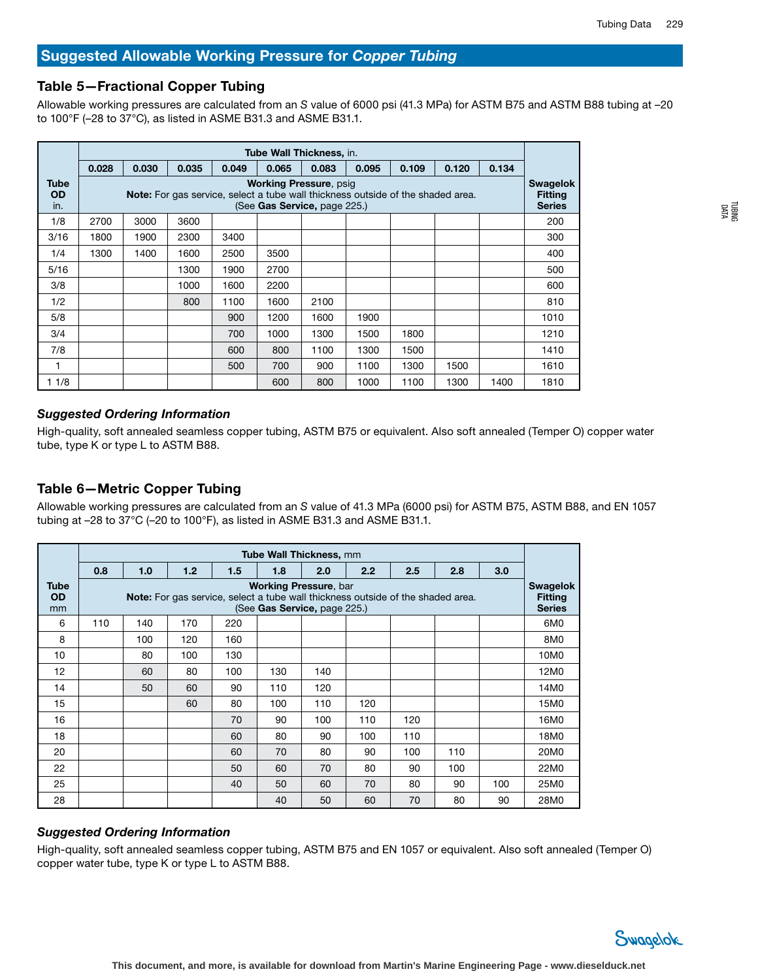TUBING DATA

# Suggested Allowable Working Pressure for *Copper Tubing*

## Table 5—Fractional Copper Tubing

Allowable working pressures are calculated from an *S* value of 6000 psi (41.3 MPa) for ASTM B75 and ASTM B88 tubing at –20 to 100°F (–28 to 37°C), as listed in ASME B31.3 and ASME B31.1.

|                                 | Tube Wall Thickness, in. |       |       |                                                                                 |                                                               |       |       |       |       |       |                                                    |  |  |
|---------------------------------|--------------------------|-------|-------|---------------------------------------------------------------------------------|---------------------------------------------------------------|-------|-------|-------|-------|-------|----------------------------------------------------|--|--|
|                                 | 0.028                    | 0.030 | 0.035 | 0.049                                                                           | 0.065                                                         | 0.083 | 0.095 | 0.109 | 0.120 | 0.134 |                                                    |  |  |
| <b>Tube</b><br><b>OD</b><br>in. |                          |       |       | Note: For gas service, select a tube wall thickness outside of the shaded area. | <b>Working Pressure, psig</b><br>(See Gas Service, page 225.) |       |       |       |       |       | <b>Swagelok</b><br><b>Fitting</b><br><b>Series</b> |  |  |
| 1/8                             | 2700                     | 3000  | 3600  |                                                                                 |                                                               |       |       |       |       |       | 200                                                |  |  |
| 3/16                            | 1800                     | 1900  | 2300  | 3400                                                                            |                                                               |       |       |       |       |       | 300                                                |  |  |
| 1/4                             | 1300                     | 1400  | 1600  | 2500                                                                            | 3500                                                          |       |       |       |       |       | 400                                                |  |  |
| 5/16                            |                          |       | 1300  | 1900                                                                            | 2700                                                          |       |       |       |       |       | 500                                                |  |  |
| 3/8                             |                          |       | 1000  | 1600                                                                            | 2200                                                          |       |       |       |       |       | 600                                                |  |  |
| 1/2                             |                          |       | 800   | 1100                                                                            | 1600                                                          | 2100  |       |       |       |       | 810                                                |  |  |
| 5/8                             |                          |       |       | 900                                                                             | 1200                                                          | 1600  | 1900  |       |       |       | 1010                                               |  |  |
| 3/4                             |                          |       |       | 700                                                                             | 1000                                                          | 1300  | 1500  | 1800  |       |       | 1210                                               |  |  |
| 7/8                             |                          |       |       | 600                                                                             | 800                                                           | 1100  | 1300  | 1500  |       |       | 1410                                               |  |  |
| 1                               |                          |       |       | 500                                                                             | 700                                                           | 900   | 1100  | 1300  | 1500  |       | 1610                                               |  |  |
| 11/8                            |                          |       |       |                                                                                 | 600                                                           | 800   | 1000  | 1100  | 1300  | 1400  | 1810                                               |  |  |

#### *Suggested Ordering Information*

High-quality, soft annealed seamless copper tubing, ASTM B75 or equivalent. Also soft annealed (Temper O) copper water tube, type K or type L to ASTM B88.

## Table 6—Metric Copper Tubing

Allowable working pressures are calculated from an *S* value of 41.3 MPa (6000 psi) for ASTM B75, ASTM B88, and EN 1057 tubing at –28 to 37°C (–20 to 100°F), as listed in ASME B31.3 and ASME B31.1.

|                         | <b>Tube Wall Thickness, mm</b> |     |     |     |     |                                                                                                                                                        |     |     |     |     |                                                    |  |  |
|-------------------------|--------------------------------|-----|-----|-----|-----|--------------------------------------------------------------------------------------------------------------------------------------------------------|-----|-----|-----|-----|----------------------------------------------------|--|--|
|                         | 0.8                            | 1.0 | 1.2 | 1.5 | 1.8 | 2.0                                                                                                                                                    | 2.2 | 2.5 | 2.8 | 3.0 |                                                    |  |  |
| Tube<br><b>OD</b><br>mm |                                |     |     |     |     | <b>Working Pressure, bar</b><br><b>Note:</b> For gas service, select a tube wall thickness outside of the shaded area.<br>(See Gas Service, page 225.) |     |     |     |     | <b>Swagelok</b><br><b>Fitting</b><br><b>Series</b> |  |  |
| 6                       | 110                            | 140 | 170 | 220 |     |                                                                                                                                                        |     |     |     |     | 6M <sub>0</sub>                                    |  |  |
| 8                       |                                | 100 | 120 | 160 |     |                                                                                                                                                        |     |     |     |     | 8M0                                                |  |  |
| 10                      |                                | 80  | 100 | 130 |     |                                                                                                                                                        |     |     |     |     | 10M0                                               |  |  |
| 12                      |                                | 60  | 80  | 100 | 130 | 140                                                                                                                                                    |     |     |     |     | 12M0                                               |  |  |
| 14                      |                                | 50  | 60  | 90  | 110 | 120                                                                                                                                                    |     |     |     |     | 14M0                                               |  |  |
| 15                      |                                |     | 60  | 80  | 100 | 110                                                                                                                                                    | 120 |     |     |     | 15M0                                               |  |  |
| 16                      |                                |     |     | 70  | 90  | 100                                                                                                                                                    | 110 | 120 |     |     | 16M0                                               |  |  |
| 18                      |                                |     |     | 60  | 80  | 90                                                                                                                                                     | 100 | 110 |     |     | 18M0                                               |  |  |
| 20                      |                                |     |     | 60  | 70  | 80                                                                                                                                                     | 90  | 100 | 110 |     | 20M0                                               |  |  |
| 22                      |                                |     |     | 50  | 60  | 70                                                                                                                                                     | 80  | 90  | 100 |     | 22M0                                               |  |  |
| 25                      |                                |     |     | 40  | 50  | 60                                                                                                                                                     | 70  | 80  | 90  | 100 | 25M0                                               |  |  |
| 28                      |                                |     |     |     | 40  | 50                                                                                                                                                     | 60  | 70  | 80  | 90  | 28M0                                               |  |  |

#### *Suggested Ordering Information*

High-quality, soft annealed seamless copper tubing, ASTM B75 and EN 1057 or equivalent. Also soft annealed (Temper O) copper water tube, type K or type L to ASTM B88.

![](_page_17_Picture_12.jpeg)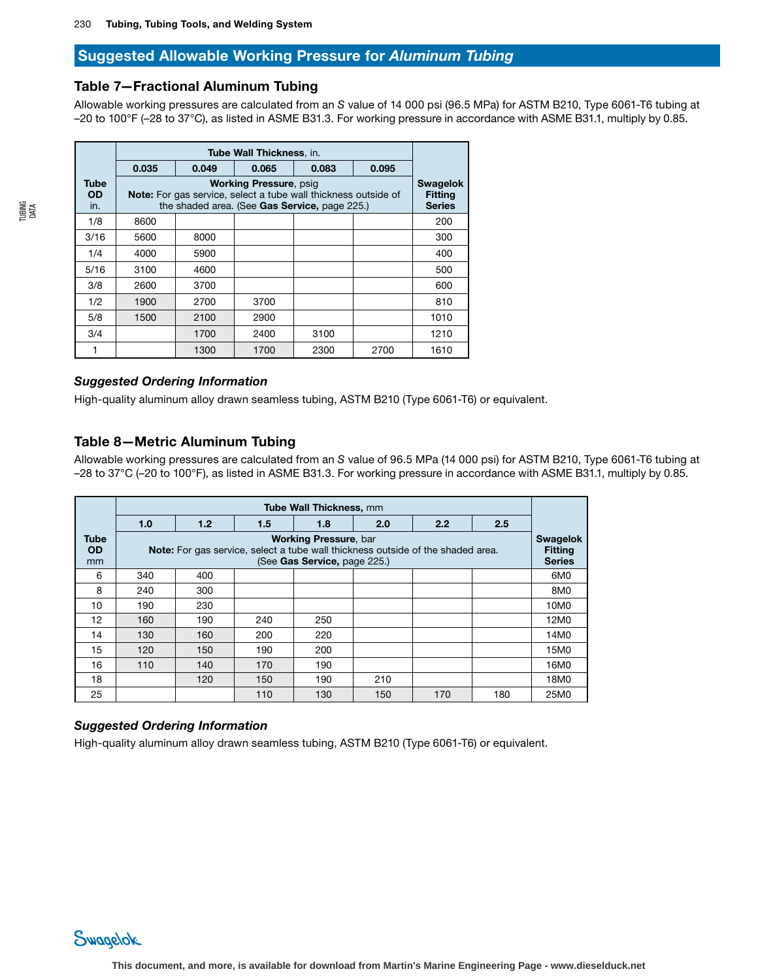# Suggested Allowable Working Pressure for *Aluminum Tubing*

## Table 7—Fractional Aluminum Tubing

Allowable working pressures are calculated from an *S* value of 14 000 psi (96.5 MPa) for ASTM B210, Type 6061-T6 tubing at –20 to 100°F (–28 to 37°C), as listed in ASME B31.3. For working pressure in accordance with ASME B31.1, multiply by 0.85.

|                          | 0.035 | 0.049                                                                                                                  | 0.065                         | 0.083 | 0.095 |                                                    |
|--------------------------|-------|------------------------------------------------------------------------------------------------------------------------|-------------------------------|-------|-------|----------------------------------------------------|
| Tube<br><b>OD</b><br>in. |       | <b>Note:</b> For gas service, select a tube wall thickness outside of<br>the shaded area. (See Gas Service, page 225.) | <b>Working Pressure, psig</b> |       |       | <b>Swagelok</b><br><b>Fitting</b><br><b>Series</b> |
| 1/8                      | 8600  |                                                                                                                        |                               |       |       | 200                                                |
| 3/16                     | 5600  | 8000                                                                                                                   |                               |       |       | 300                                                |
| 1/4                      | 4000  | 5900                                                                                                                   |                               |       |       | 400                                                |
| 5/16                     | 3100  | 4600                                                                                                                   |                               |       |       | 500                                                |
| 3/8                      | 2600  | 3700                                                                                                                   |                               |       |       | 600                                                |
| 1/2                      | 1900  | 2700                                                                                                                   | 3700                          |       |       | 810                                                |
| 5/8                      | 1500  | 2100                                                                                                                   | 2900                          |       |       | 1010                                               |
| 3/4                      |       | 1700                                                                                                                   | 2400                          | 3100  |       | 1210                                               |
|                          |       | 1300                                                                                                                   | 1700                          | 2300  | 2700  | 1610                                               |

#### *Suggested Ordering Information*

High-quality aluminum alloy drawn seamless tubing, ASTM B210 (Type 6061-T6) or equivalent.

# Table 8—Metric Aluminum Tubing

Allowable working pressures are calculated from an *S* value of 96.5 MPa (14 000 psi) for ASTM B210, Type 6061-T6 tubing at –28 to 37°C (–20 to 100°F), as listed in ASME B31.3. For working pressure in accordance with ASME B31.1, multiply by 0.85.

|                                |     |     |     | Tube Wall Thickness, mm                                      |                                                                                 |     |     |                                                    |
|--------------------------------|-----|-----|-----|--------------------------------------------------------------|---------------------------------------------------------------------------------|-----|-----|----------------------------------------------------|
|                                | 1.0 | 1.2 | 1.5 | 1.8                                                          | 2.0                                                                             | 2.2 | 2.5 |                                                    |
| <b>Tube</b><br><b>OD</b><br>mm |     |     |     | <b>Working Pressure, bar</b><br>(See Gas Service, page 225.) | Note: For gas service, select a tube wall thickness outside of the shaded area. |     |     | <b>Swagelok</b><br><b>Fitting</b><br><b>Series</b> |
| 6                              | 340 | 400 |     |                                                              |                                                                                 |     |     | 6M <sub>0</sub>                                    |
| 8                              | 240 | 300 |     |                                                              |                                                                                 |     |     | 8M0                                                |
| 10                             | 190 | 230 |     |                                                              |                                                                                 |     |     | 10M0                                               |
| 12                             | 160 | 190 | 240 | 250                                                          |                                                                                 |     |     | 12M0                                               |
| 14                             | 130 | 160 | 200 | 220                                                          |                                                                                 |     |     | 14M0                                               |
| 15                             | 120 | 150 | 190 | 200                                                          |                                                                                 |     |     | 15M0                                               |
| 16                             | 110 | 140 | 170 | 190                                                          |                                                                                 |     |     | 16M0                                               |
| 18                             |     | 120 | 150 | 190                                                          | 210                                                                             |     |     | 18M0                                               |
| 25                             |     |     | 110 | 130                                                          | 150                                                                             | 170 | 180 | 25M0                                               |

#### *Suggested Ordering Information*

High-quality aluminum alloy drawn seamless tubing, ASTM B210 (Type 6061-T6) or equivalent.

Swagelok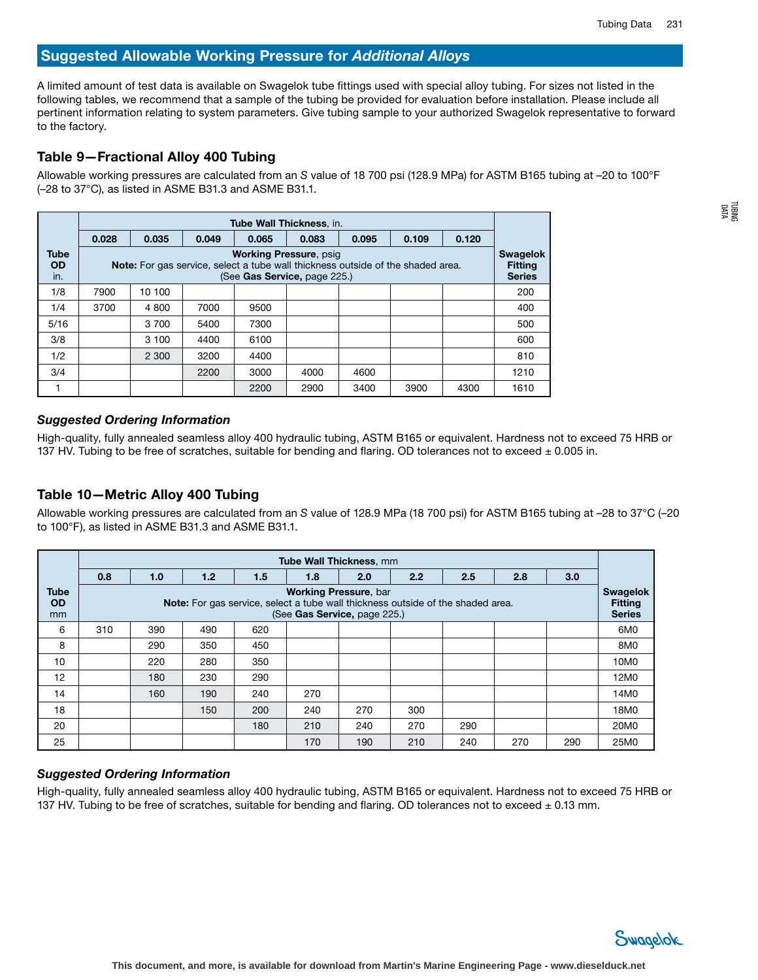A limited amount of test data is available on Swagelok tube fittings used with special alloy tubing. For sizes not listed in the following tables, we recommend that a sample of the tubing be provided for evaluation before installation. Please include all pertinent information relating to system parameters. Give tubing sample to your authorized Swagelok representative to forward to the factory.

# Table 9—Fractional Alloy 400 Tubing

Allowable working pressures are calculated from an *S* value of 18 700 psi (128.9 MPa) for ASTM B165 tubing at –20 to 100°F (–28 to 37°C), as listed in ASME B31.3 and ASME B31.1.

|                                 | <b>Tube Wall Thickness, in.</b> |                                                                                                                                                         |       |       |       |       |       |       |      |  |  |  |  |
|---------------------------------|---------------------------------|---------------------------------------------------------------------------------------------------------------------------------------------------------|-------|-------|-------|-------|-------|-------|------|--|--|--|--|
|                                 | 0.028                           | 0.035                                                                                                                                                   | 0.049 | 0.065 | 0.083 | 0.095 | 0.109 | 0.120 |      |  |  |  |  |
| <b>Tube</b><br><b>OD</b><br>in. |                                 | <b>Working Pressure, psig</b><br><b>Note:</b> For gas service, select a tube wall thickness outside of the shaded area.<br>(See Gas Service, page 225.) |       |       |       |       |       |       |      |  |  |  |  |
| 1/8                             | 7900                            | 10 100                                                                                                                                                  |       |       |       |       |       |       | 200  |  |  |  |  |
| 1/4                             | 3700                            | 4 800                                                                                                                                                   | 7000  | 9500  |       |       |       |       | 400  |  |  |  |  |
| 5/16                            |                                 | 3 700                                                                                                                                                   | 5400  | 7300  |       |       |       |       | 500  |  |  |  |  |
| 3/8                             |                                 | 3 100                                                                                                                                                   | 4400  | 6100  |       |       |       |       | 600  |  |  |  |  |
| 1/2                             |                                 | 2 300                                                                                                                                                   | 3200  | 4400  |       |       |       |       | 810  |  |  |  |  |
| 3/4                             |                                 |                                                                                                                                                         | 2200  | 3000  | 4000  | 4600  |       |       | 1210 |  |  |  |  |
|                                 |                                 |                                                                                                                                                         |       | 2200  | 2900  | 3400  | 3900  | 4300  | 1610 |  |  |  |  |

#### *Suggested Ordering Information*

High-quality, fully annealed seamless alloy 400 hydraulic tubing, ASTM B165 or equivalent. Hardness not to exceed 75 HRB or 137 HV. Tubing to be free of scratches, suitable for bending and flaring. OD tolerances not to exceed  $\pm$  0.005 in.

# Table 10—Metric Alloy 400 Tubing

Allowable working pressures are calculated from an *S* value of 128.9 MPa (18 700 psi) for ASTM B165 tubing at –28 to 37°C (–20 to 100°F), as listed in ASME B31.3 and ASME B31.1.

|                                | <b>Tube Wall Thickness, mm</b> |     |     |     |                                                              |     |                                                                                        |     |     |     |                                                    |  |
|--------------------------------|--------------------------------|-----|-----|-----|--------------------------------------------------------------|-----|----------------------------------------------------------------------------------------|-----|-----|-----|----------------------------------------------------|--|
|                                | 0.8                            | 1.0 | 1.2 | 1.5 | 1.8                                                          | 2.0 | 2.2                                                                                    | 2.5 | 2.8 | 3.0 |                                                    |  |
| <b>Tube</b><br><b>OD</b><br>mm |                                |     |     |     | <b>Working Pressure, bar</b><br>(See Gas Service, page 225.) |     | <b>Note:</b> For gas service, select a tube wall thickness outside of the shaded area. |     |     |     | <b>Swagelok</b><br><b>Fitting</b><br><b>Series</b> |  |
| 6                              | 310                            | 390 | 490 | 620 |                                                              |     |                                                                                        |     |     |     | 6M <sub>0</sub>                                    |  |
| 8                              |                                | 290 | 350 | 450 |                                                              |     |                                                                                        |     |     |     | 8M0                                                |  |
| 10                             |                                | 220 | 280 | 350 |                                                              |     |                                                                                        |     |     |     | 10M0                                               |  |
| 12                             |                                | 180 | 230 | 290 |                                                              |     |                                                                                        |     |     |     | 12M0                                               |  |
| 14                             |                                | 160 | 190 | 240 | 270                                                          |     |                                                                                        |     |     |     | 14M0                                               |  |
| 18                             |                                |     | 150 | 200 | 240                                                          | 270 | 300                                                                                    |     |     |     | 18M0                                               |  |
| 20                             |                                |     |     | 180 | 210                                                          | 240 | 270                                                                                    | 290 |     |     | 20M0                                               |  |
| 25                             |                                |     |     |     | 170                                                          | 190 | 210                                                                                    | 240 | 270 | 290 | 25M0                                               |  |

#### *Suggested Ordering Information*

High-quality, fully annealed seamless alloy 400 hydraulic tubing, ASTM B165 or equivalent. Hardness not to exceed 75 HRB or 137 HV. Tubing to be free of scratches, suitable for bending and flaring. OD tolerances not to exceed  $\pm$  0.13 mm.

![](_page_19_Picture_13.jpeg)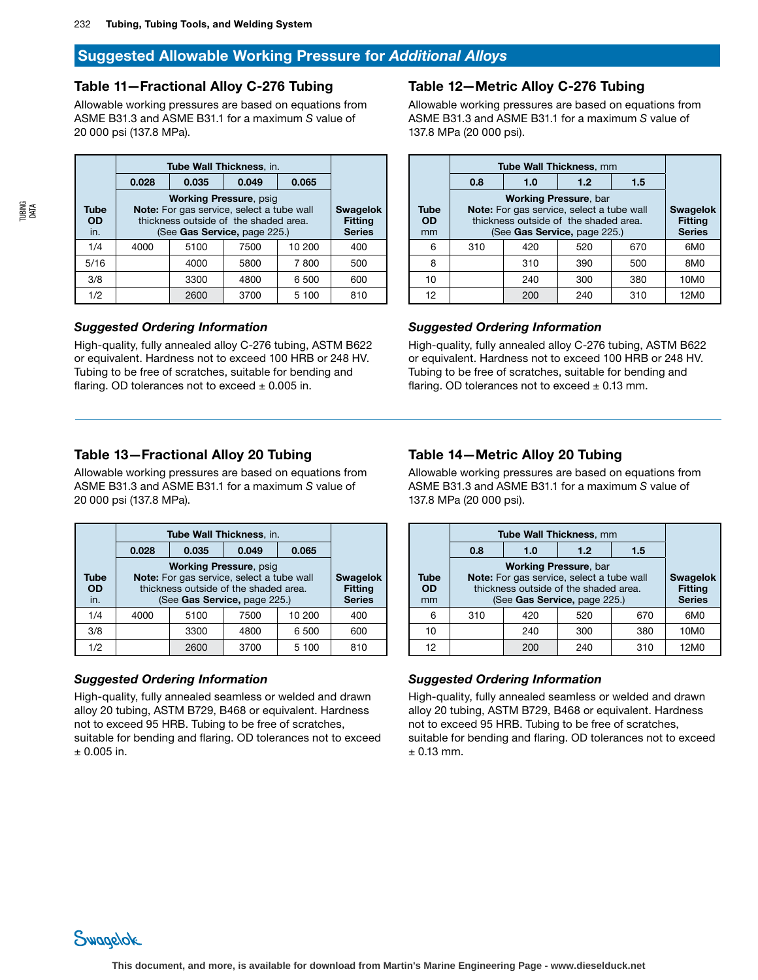# Table 11—Fractional Alloy C-276 Tubing

Allowable working pressures are based on equations from ASME B31.3 and ASME B31.1 for a maximum *S* value of 20 000 psi (137.8 MPa).

|                                 | Tube Wall Thickness, in. |                                                                                                                                                     |      |        |     |  |  |  |
|---------------------------------|--------------------------|-----------------------------------------------------------------------------------------------------------------------------------------------------|------|--------|-----|--|--|--|
|                                 | 0.028                    |                                                                                                                                                     |      |        |     |  |  |  |
| <b>Tube</b><br><b>OD</b><br>in. |                          | <b>Working Pressure, psig</b><br>Note: For gas service, select a tube wall<br>thickness outside of the shaded area.<br>(See Gas Service, page 225.) |      |        |     |  |  |  |
| 1/4                             | 4000                     | 5100                                                                                                                                                | 7500 | 10 200 | 400 |  |  |  |
| 5/16                            |                          | 4000                                                                                                                                                | 5800 | 7800   | 500 |  |  |  |
| 3/8                             |                          | 3300                                                                                                                                                | 4800 | 6 500  | 600 |  |  |  |
| 1/2                             |                          | 2600                                                                                                                                                | 3700 | 5 100  | 810 |  |  |  |

## *Suggested Ordering Information*

High-quality, fully annealed alloy C-276 tubing, ASTM B622 or equivalent. Hardness not to exceed 100 HRB or 248 HV. Tubing to be free of scratches, suitable for bending and flaring. OD tolerances not to exceed  $\pm$  0.005 in.

# Table 13—Fractional Alloy 20 Tubing

Allowable working pressures are based on equations from ASME B31.3 and ASME B31.1 for a maximum *S* value of 20 000 psi (137.8 MPa).

|                          | Tube Wall Thickness, in.                                                                                                                            |                                                    |      |       |     |  |  |
|--------------------------|-----------------------------------------------------------------------------------------------------------------------------------------------------|----------------------------------------------------|------|-------|-----|--|--|
|                          | 0.028                                                                                                                                               |                                                    |      |       |     |  |  |
| Tube<br><b>OD</b><br>in. | <b>Working Pressure, psig</b><br>Note: For gas service, select a tube wall<br>thickness outside of the shaded area.<br>(See Gas Service, page 225.) | <b>Swagelok</b><br><b>Fitting</b><br><b>Series</b> |      |       |     |  |  |
| 1/4                      | 4000                                                                                                                                                | 10 200<br>7500<br>5100                             |      |       |     |  |  |
| 3/8                      |                                                                                                                                                     | 600                                                |      |       |     |  |  |
| 1/2                      |                                                                                                                                                     | 2600                                               | 3700 | 5 100 | 810 |  |  |

# *Suggested Ordering Information*

High-quality, fully annealed seamless or welded and drawn alloy 20 tubing, ASTM B729, B468 or equivalent. Hardness not to exceed 95 HRB. Tubing to be free of scratches, suitable for bending and flaring. OD tolerances not to exceed  $±$  0.005 in.

## Table 12—Metric Alloy C-276 Tubing

Allowable working pressures are based on equations from ASME B31.3 and ASME B31.1 for a maximum *S* value of 137.8 MPa (20 000 psi).

|                                | Tube Wall Thickness, mm                                                                                            |                                                    |     |     |      |
|--------------------------------|--------------------------------------------------------------------------------------------------------------------|----------------------------------------------------|-----|-----|------|
|                                | 0.8                                                                                                                |                                                    |     |     |      |
| <b>Tube</b><br><b>OD</b><br>mm | Note: For gas service, select a tube wall<br>thickness outside of the shaded area.<br>(See Gas Service, page 225.) | <b>Swagelok</b><br><b>Fitting</b><br><b>Series</b> |     |     |      |
| 6                              | 310                                                                                                                | 420                                                | 520 | 670 | 6M0  |
| 8                              |                                                                                                                    | 310                                                | 390 | 500 | 8M0  |
| 10                             |                                                                                                                    | 240                                                | 300 | 380 | 10M0 |
| 12                             |                                                                                                                    | 200                                                | 240 | 310 | 12M0 |

# *Suggested Ordering Information*

High-quality, fully annealed alloy C-276 tubing, ASTM B622 or equivalent. Hardness not to exceed 100 HRB or 248 HV. Tubing to be free of scratches, suitable for bending and flaring. OD tolerances not to exceed  $\pm$  0.13 mm.

# Table 14—Metric Alloy 20 Tubing

Allowable working pressures are based on equations from ASME B31.3 and ASME B31.1 for a maximum *S* value of 137.8 MPa (20 000 psi).

|                         | Tube Wall Thickness, mm |                                                                                                                                                    |     |     |      |  |  |  |
|-------------------------|-------------------------|----------------------------------------------------------------------------------------------------------------------------------------------------|-----|-----|------|--|--|--|
|                         | 0.8                     |                                                                                                                                                    |     |     |      |  |  |  |
| Tube<br><b>OD</b><br>mm |                         | <b>Working Pressure, bar</b><br>Note: For gas service, select a tube wall<br>thickness outside of the shaded area.<br>(See Gas Service, page 225.) |     |     |      |  |  |  |
| 6                       | 310                     | 670<br>420<br>520                                                                                                                                  |     |     |      |  |  |  |
| 10                      |                         | 10M0                                                                                                                                               |     |     |      |  |  |  |
| 12                      |                         | 200                                                                                                                                                | 240 | 310 | 12M0 |  |  |  |

#### *Suggested Ordering Information*

High-quality, fully annealed seamless or welded and drawn alloy 20 tubing, ASTM B729, B468 or equivalent. Hardness not to exceed 95 HRB. Tubing to be free of scratches, suitable for bending and flaring. OD tolerances not to exceed  $± 0.13$  mm.

TUBING DATA

![](_page_20_Picture_23.jpeg)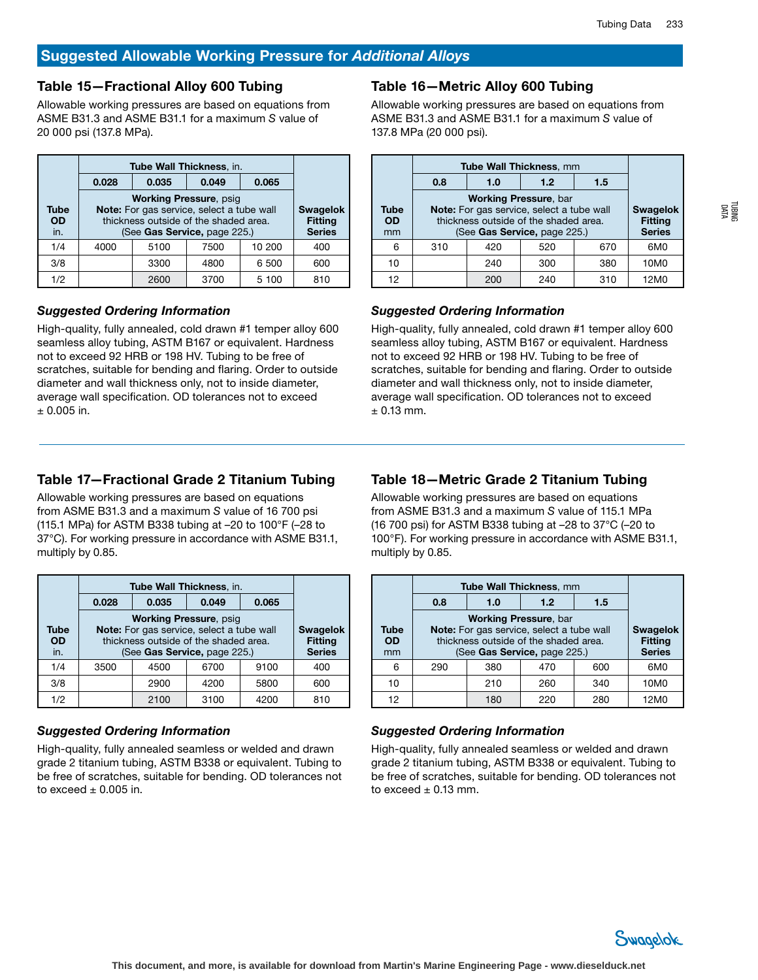# Table 15—Fractional Alloy 600 Tubing

Allowable working pressures are based on equations from ASME B31.3 and ASME B31.1 for a maximum *S* value of 20 000 psi (137.8 MPa).

|                          | 0.028                                                                                                                                               |                                                    |      |       |     |  |  |
|--------------------------|-----------------------------------------------------------------------------------------------------------------------------------------------------|----------------------------------------------------|------|-------|-----|--|--|
| Tube<br><b>OD</b><br>in. | <b>Working Pressure, psig</b><br>Note: For gas service, select a tube wall<br>thickness outside of the shaded area.<br>(See Gas Service, page 225.) | <b>Swagelok</b><br><b>Fitting</b><br><b>Series</b> |      |       |     |  |  |
| 1/4                      | 4000                                                                                                                                                | 10 200<br>7500<br>5100                             |      |       |     |  |  |
| 3/8                      |                                                                                                                                                     | 600                                                |      |       |     |  |  |
| 1/2                      |                                                                                                                                                     | 2600                                               | 3700 | 5 100 | 810 |  |  |

#### *Suggested Ordering Information*

High-quality, fully annealed, cold drawn #1 temper alloy 600 seamless alloy tubing, ASTM B167 or equivalent. Hardness not to exceed 92 HRB or 198 HV. Tubing to be free of scratches, suitable for bending and flaring. Order to outside diameter and wall thickness only, not to inside diameter, average wall specification. OD tolerances not to exceed  $±$  0.005 in.

## Table 16—Metric Alloy 600 Tubing

Allowable working pressures are based on equations from ASME B31.3 and ASME B31.1 for a maximum *S* value of 137.8 MPa (20 000 psi).

|                         | <b>Tube Wall Thickness, mm</b> |                                                                                                                                                    |     |     |      |  |  |  |
|-------------------------|--------------------------------|----------------------------------------------------------------------------------------------------------------------------------------------------|-----|-----|------|--|--|--|
|                         | 0.8                            | 1.5                                                                                                                                                |     |     |      |  |  |  |
| Tube<br><b>OD</b><br>mm |                                | <b>Working Pressure, bar</b><br>Note: For gas service, select a tube wall<br>thickness outside of the shaded area.<br>(See Gas Service, page 225.) |     |     |      |  |  |  |
| 6                       | 310                            | 670<br>420<br>520                                                                                                                                  |     |     |      |  |  |  |
| 10                      |                                | 240                                                                                                                                                | 300 | 380 | 10M0 |  |  |  |
| 12                      |                                | 200                                                                                                                                                | 240 | 310 | 12M0 |  |  |  |

## *Suggested Ordering Information*

High-quality, fully annealed, cold drawn #1 temper alloy 600 seamless alloy tubing, ASTM B167 or equivalent. Hardness not to exceed 92 HRB or 198 HV. Tubing to be free of scratches, suitable for bending and flaring. Order to outside diameter and wall thickness only, not to inside diameter, average wall specification. OD tolerances not to exceed  $±$  0.13 mm.

# Table 17—Fractional Grade 2 Titanium Tubing

Allowable working pressures are based on equations from ASME B31.3 and a maximum *S* value of 16 700 psi (115.1 MPa) for ASTM B338 tubing at –20 to 100°F (–28 to 37°C). For working pressure in accordance with ASME B31.1, multiply by 0.85.

|                          | Tube Wall Thickness, in.                                                                                                                            |                                                    |      |      |     |  |  |
|--------------------------|-----------------------------------------------------------------------------------------------------------------------------------------------------|----------------------------------------------------|------|------|-----|--|--|
|                          | 0.028                                                                                                                                               |                                                    |      |      |     |  |  |
| Tube<br><b>OD</b><br>in. | <b>Working Pressure, psig</b><br>Note: For gas service, select a tube wall<br>thickness outside of the shaded area.<br>(See Gas Service, page 225.) | <b>Swagelok</b><br><b>Fitting</b><br><b>Series</b> |      |      |     |  |  |
| 1/4                      | 3500                                                                                                                                                | 9100<br>4500<br>6700                               |      |      |     |  |  |
| 3/8                      |                                                                                                                                                     | 600                                                |      |      |     |  |  |
| 1/2                      |                                                                                                                                                     | 2100                                               | 3100 | 4200 | 810 |  |  |

#### *Suggested Ordering Information*

High-quality, fully annealed seamless or welded and drawn grade 2 titanium tubing, ASTM B338 or equivalent. Tubing to be free of scratches, suitable for bending. OD tolerances not to exceed  $\pm$  0.005 in.

# Table 18—Metric Grade 2 Titanium Tubing

Allowable working pressures are based on equations from ASME B31.3 and a maximum *S* value of 115.1 MPa (16 700 psi) for ASTM B338 tubing at –28 to 37°C (–20 to 100°F). For working pressure in accordance with ASME B31.1, multiply by 0.85.

|                                | <b>Tube Wall Thickness, mm</b> |                                                                                                                                                    |     |     |      |  |  |
|--------------------------------|--------------------------------|----------------------------------------------------------------------------------------------------------------------------------------------------|-----|-----|------|--|--|
|                                | 0.8                            |                                                                                                                                                    |     |     |      |  |  |
| <b>Tube</b><br><b>OD</b><br>mm |                                | <b>Working Pressure, bar</b><br>Note: For gas service, select a tube wall<br>thickness outside of the shaded area.<br>(See Gas Service, page 225.) |     |     |      |  |  |
| 6                              | 290                            | 470<br>600<br>380                                                                                                                                  |     |     |      |  |  |
| 10                             |                                | 10M0                                                                                                                                               |     |     |      |  |  |
| 12                             |                                | 180                                                                                                                                                | 220 | 280 | 12M0 |  |  |

#### *Suggested Ordering Information*

High-quality, fully annealed seamless or welded and drawn grade 2 titanium tubing, ASTM B338 or equivalent. Tubing to be free of scratches, suitable for bending. OD tolerances not to exceed  $\pm$  0.13 mm.

![](_page_21_Picture_22.jpeg)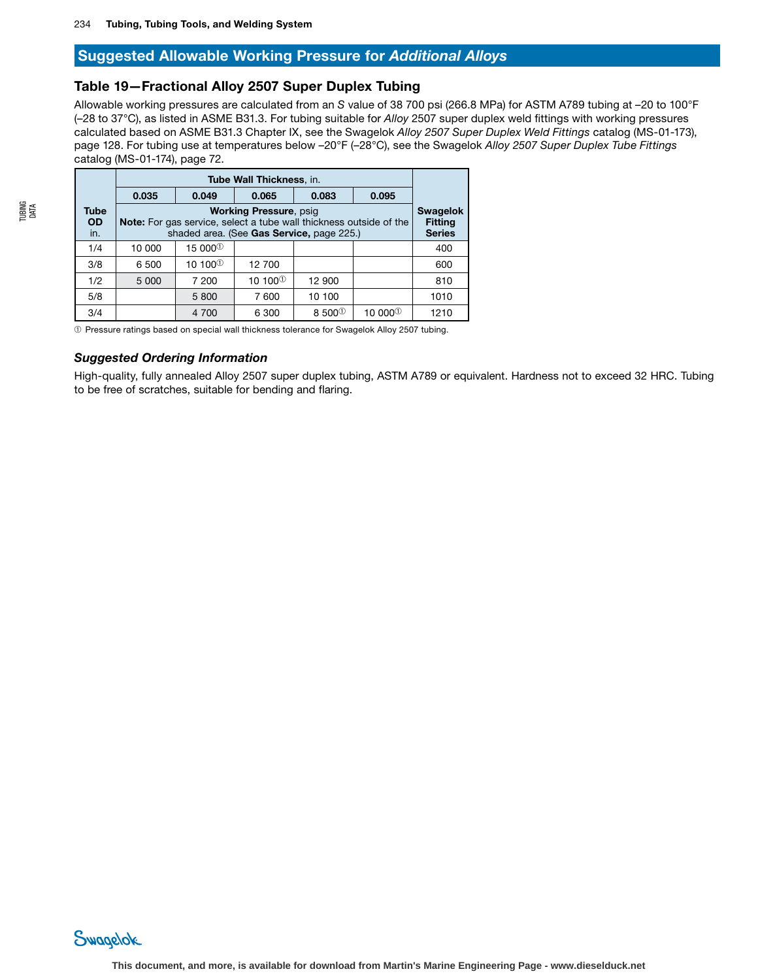# Table 19—Fractional Alloy 2507 Super Duplex Tubing

Allowable working pressures are calculated from an *S* value of 38 700 psi (266.8 MPa) for ASTM A789 tubing at –20 to 100°F (–28 to 37°C), as listed in ASME B31.3. For tubing suitable for *Alloy* 2507 super duplex weld fittings with working pressures calculated based on ASME B31.3 Chapter IX, see the Swagelok *Alloy 2507 Super Duplex Weld Fittings* catalog (MS-01-173), page 128. For tubing use at temperatures below –20°F (–28°C), see the Swagelok *Alloy 2507 Super Duplex Tube Fittings*  catalog (MS-01-174), page 72.

|                                 | Tube Wall Thickness, in.                                                                                                                                                   |                     |                   |                  |                     |      |  |  |
|---------------------------------|----------------------------------------------------------------------------------------------------------------------------------------------------------------------------|---------------------|-------------------|------------------|---------------------|------|--|--|
|                                 | 0.035                                                                                                                                                                      | 0.049               | 0.065             | 0.083            | 0.095               |      |  |  |
| <b>Tube</b><br><b>OD</b><br>in. | <b>Working Pressure, psig</b><br><b>Swagelok</b><br><b>Note:</b> For gas service, select a tube wall thickness outside of the<br>shaded area. (See Gas Service, page 225.) |                     |                   |                  |                     |      |  |  |
| 1/4                             | 10 000                                                                                                                                                                     | 15 000 <sup>①</sup> |                   |                  |                     | 400  |  |  |
| 3/8                             | 6 500                                                                                                                                                                      | 10 100 $^{\circ}$   | 12 700            |                  |                     | 600  |  |  |
| 1/2                             | 5 0 0 0                                                                                                                                                                    | 7 200               | 10 100 $^{\circ}$ | 12 900           |                     | 810  |  |  |
| 5/8                             |                                                                                                                                                                            | 5 800               | 7 600             | 10 100           |                     | 1010 |  |  |
| 3/4                             |                                                                                                                                                                            | 4 700               | 6 300             | 8 500 $^{\circ}$ | 10 000 <sup>①</sup> | 1210 |  |  |

➀ Pressure ratings based on special wall thickness tolerance for Swagelok Alloy 2507 tubing.

#### *Suggested Ordering Information*

High-quality, fully annealed Alloy 2507 super duplex tubing, ASTM A789 or equivalent. Hardness not to exceed 32 HRC. Tubing to be free of scratches, suitable for bending and flaring.

![](_page_22_Picture_9.jpeg)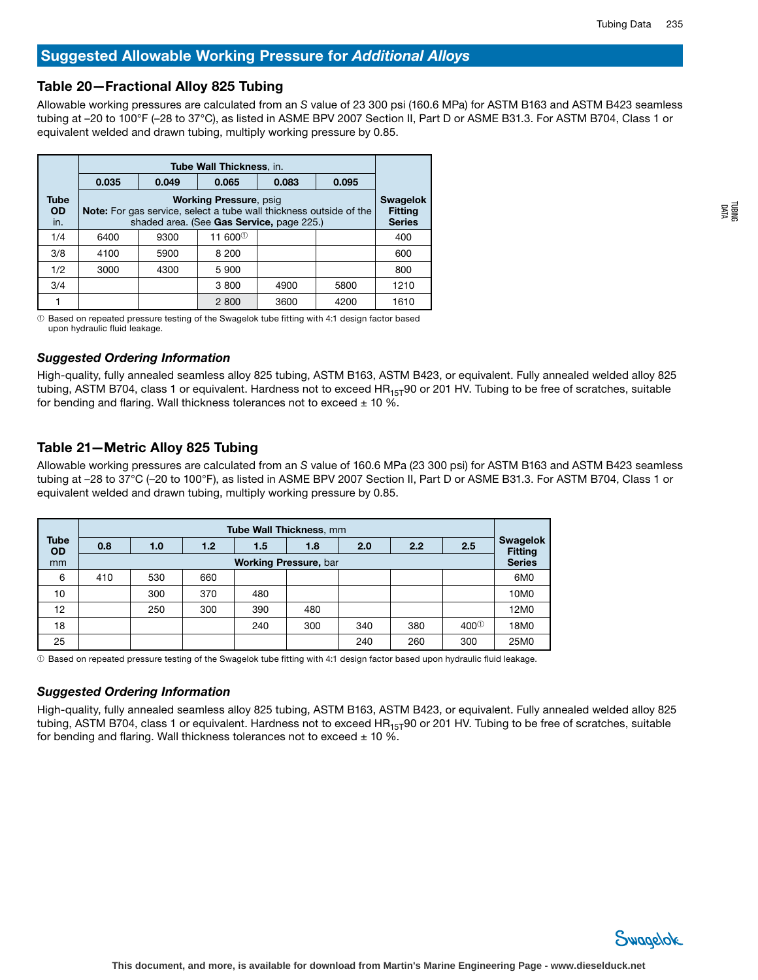## Table 20—Fractional Alloy 825 Tubing

Allowable working pressures are calculated from an *S* value of 23 300 psi (160.6 MPa) for ASTM B163 and ASTM B423 seamless tubing at –20 to 100°F (–28 to 37°C), as listed in ASME BPV 2007 Section II, Part D or ASME B31.3. For ASTM B704, Class 1 or equivalent welded and drawn tubing, multiply working pressure by 0.85.

|                                 | <b>Tube Wall Thickness, in.</b>                                                                                                                                            |       |                     |       |       |      |  |  |
|---------------------------------|----------------------------------------------------------------------------------------------------------------------------------------------------------------------------|-------|---------------------|-------|-------|------|--|--|
|                                 | 0.035                                                                                                                                                                      | 0.049 | 0.065               | 0.083 | 0.095 |      |  |  |
| <b>Tube</b><br><b>OD</b><br>in. | <b>Working Pressure, psig</b><br><b>Swagelok</b><br><b>Note:</b> For gas service, select a tube wall thickness outside of the<br>shaded area. (See Gas Service, page 225.) |       |                     |       |       |      |  |  |
| 1/4                             | 6400                                                                                                                                                                       | 9300  | 11 600 <sup>①</sup> |       |       | 400  |  |  |
| 3/8                             | 4100                                                                                                                                                                       | 5900  | 8 200               |       |       | 600  |  |  |
| 1/2                             | 3000                                                                                                                                                                       | 4300  | 5 900               |       |       | 800  |  |  |
| 3/4                             |                                                                                                                                                                            |       | 3800                | 4900  | 5800  | 1210 |  |  |
|                                 |                                                                                                                                                                            |       | 2800                | 3600  | 4200  | 1610 |  |  |

➀ Based on repeated pressure testing of the Swagelok tube fitting with 4:1 design factor based upon hydraulic fluid leakage.

#### *Suggested Ordering Information*

High-quality, fully annealed seamless alloy 825 tubing, ASTM B163, ASTM B423, or equivalent. Fully annealed welded alloy 825 tubing, ASTM B704, class 1 or equivalent. Hardness not to exceed  $HR_{15T}90$  or 201 HV. Tubing to be free of scratches, suitable for bending and flaring. Wall thickness tolerances not to exceed  $\pm$  10 %.

## Table 21—Metric Alloy 825 Tubing

Allowable working pressures are calculated from an *S* value of 160.6 MPa (23 300 psi) for ASTM B163 and ASTM B423 seamless tubing at –28 to 37°C (–20 to 100°F), as listed in ASME BPV 2007 Section II, Part D or ASME B31.3. For ASTM B704, Class 1 or equivalent welded and drawn tubing, multiply working pressure by 0.85.

|                   | <b>Tube Wall Thickness, mm</b> |     |     |                              |     |     |     |             |                                   |
|-------------------|--------------------------------|-----|-----|------------------------------|-----|-----|-----|-------------|-----------------------------------|
| Tube<br><b>OD</b> | 0.8                            | 1.0 | 1.2 | 1.5                          | 1.8 | 2.0 | 2.2 | 2.5         | <b>Swagelok</b><br><b>Fitting</b> |
| mm                |                                |     |     | <b>Working Pressure, bar</b> |     |     |     |             | <b>Series</b>                     |
| 6                 | 410                            | 530 | 660 |                              |     |     |     |             | 6M <sub>0</sub>                   |
| 10                |                                | 300 | 370 | 480                          |     |     |     |             | 10M0                              |
| 12                |                                | 250 | 300 | 390                          | 480 |     |     |             | 12M0                              |
| 18                |                                |     |     | 240                          | 300 | 340 | 380 | $400^\circ$ | 18M0                              |
| 25                |                                |     |     |                              |     | 240 | 260 | 300         | 25M0                              |

➀ Based on repeated pressure testing of the Swagelok tube fitting with 4:1 design factor based upon hydraulic fluid leakage.

#### *Suggested Ordering Information*

High-quality, fully annealed seamless alloy 825 tubing, ASTM B163, ASTM B423, or equivalent. Fully annealed welded alloy 825 tubing, ASTM B704, class 1 or equivalent. Hardness not to exceed  $HR_{15T}90$  or 201 HV. Tubing to be free of scratches, suitable for bending and flaring. Wall thickness tolerances not to exceed  $\pm$  10 %.

![](_page_23_Figure_14.jpeg)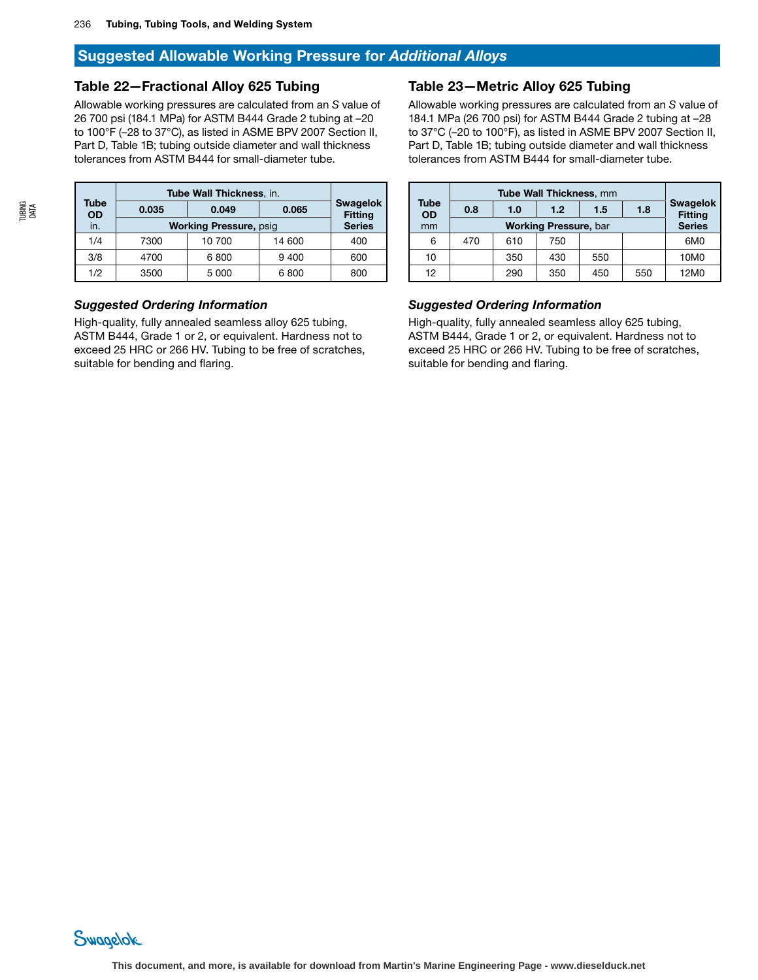## Table 22—Fractional Alloy 625 Tubing

Allowable working pressures are calculated from an *S* value of 26 700 psi (184.1 MPa) for ASTM B444 Grade 2 tubing at –20 to 100°F (–28 to 37°C), as listed in ASME BPV 2007 Section II, Part D, Table 1B; tubing outside diameter and wall thickness tolerances from ASTM B444 for small-diameter tube.

| Tube<br><b>OD</b> | 0.035 | <b>Swagelok</b><br><b>Fitting</b> |        |               |
|-------------------|-------|-----------------------------------|--------|---------------|
| in.               |       | <b>Working Pressure, psig</b>     |        | <b>Series</b> |
| 1/4               | 7300  | 10 700                            | 14 600 | 400           |
| 3/8               | 4700  | 600                               |        |               |
| 1/2               | 3500  | 5 000                             | 6800   | 800           |

## *Suggested Ordering Information*

High-quality, fully annealed seamless alloy 625 tubing, ASTM B444, Grade 1 or 2, or equivalent. Hardness not to exceed 25 HRC or 266 HV. Tubing to be free of scratches, suitable for bending and flaring.

#### Table 23—Metric Alloy 625 Tubing

Allowable working pressures are calculated from an *S* value of 184.1 MPa (26 700 psi) for ASTM B444 Grade 2 tubing at –28 to 37°C (–20 to 100°F), as listed in ASME BPV 2007 Section II, Part D, Table 1B; tubing outside diameter and wall thickness tolerances from ASTM B444 for small-diameter tube.

| <b>Tube</b><br><b>OD</b> |     |               |     |     |     |                                   |  |
|--------------------------|-----|---------------|-----|-----|-----|-----------------------------------|--|
|                          | 0.8 | 1.0           | 1.2 | 1.5 | 1.8 | <b>Swagelok</b><br><b>Fitting</b> |  |
| mm                       |     | <b>Series</b> |     |     |     |                                   |  |
| 6                        | 470 | 610           | 750 |     |     | 6M0                               |  |
| 10                       |     | 350           | 430 | 550 |     | 10M0                              |  |
| 12                       |     | 290           | 350 | 450 | 550 | 12M0                              |  |

# *Suggested Ordering Information*

High-quality, fully annealed seamless alloy 625 tubing, ASTM B444, Grade 1 or 2, or equivalent. Hardness not to exceed 25 HRC or 266 HV. Tubing to be free of scratches, suitable for bending and flaring.

![](_page_24_Picture_12.jpeg)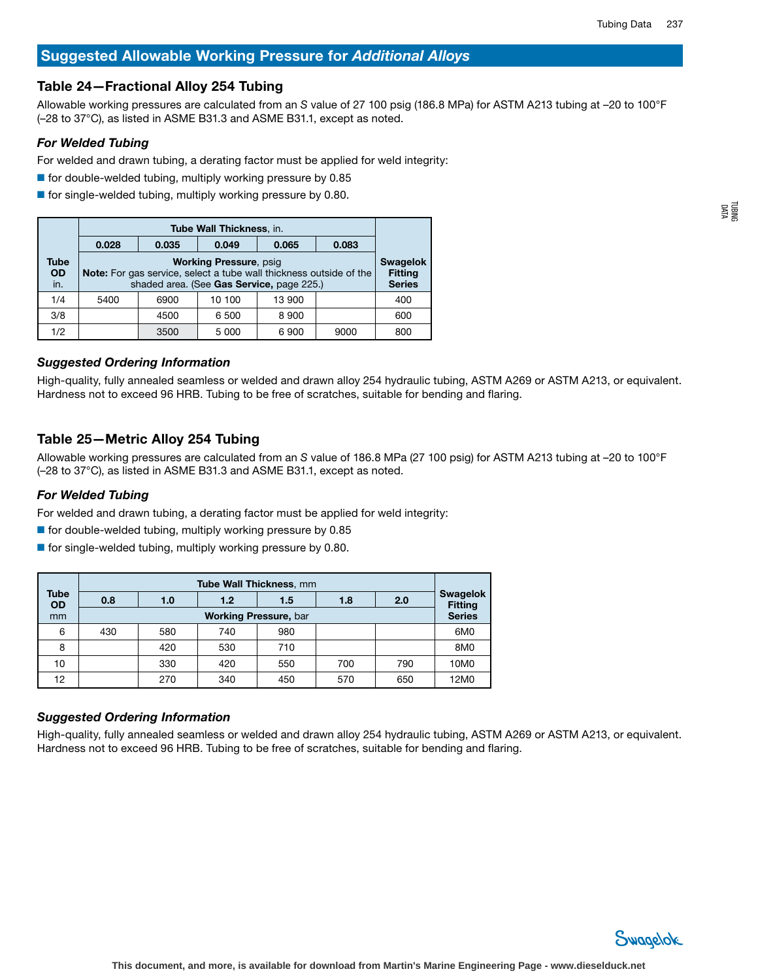# Table 24—Fractional Alloy 254 Tubing

Allowable working pressures are calculated from an *S* value of 27 100 psig (186.8 MPa) for ASTM A213 tubing at –20 to 100°F (–28 to 37°C), as listed in ASME B31.3 and ASME B31.1, except as noted.

# *For Welded Tubing*

For welded and drawn tubing, a derating factor must be applied for weld integrity:

- $\blacksquare$  for double-welded tubing, multiply working pressure by 0.85
- $\blacksquare$  for single-welded tubing, multiply working pressure by 0.80.

|                          | <b>Tube Wall Thickness, in.</b>                                                                                                                  |      |        |        |      |     |  |  |  |
|--------------------------|--------------------------------------------------------------------------------------------------------------------------------------------------|------|--------|--------|------|-----|--|--|--|
|                          | 0.028<br>0.049<br>0.083<br>0.035<br>0.065                                                                                                        |      |        |        |      |     |  |  |  |
| Tube<br><b>OD</b><br>in. | <b>Working Pressure, psig</b><br>Note: For gas service, select a tube wall thickness outside of the<br>shaded area. (See Gas Service, page 225.) |      |        |        |      |     |  |  |  |
| 1/4                      | 5400                                                                                                                                             | 6900 | 10 100 | 13 900 |      | 400 |  |  |  |
| 3/8                      |                                                                                                                                                  | 4500 | 6 500  | 8900   |      | 600 |  |  |  |
| 1/2                      |                                                                                                                                                  | 3500 | 5 000  | 6900   | 9000 | 800 |  |  |  |

## *Suggested Ordering Information*

High-quality, fully annealed seamless or welded and drawn alloy 254 hydraulic tubing, ASTM A269 or ASTM A213, or equivalent. Hardness not to exceed 96 HRB. Tubing to be free of scratches, suitable for bending and flaring.

# Table 25—Metric Alloy 254 Tubing

Allowable working pressures are calculated from an *S* value of 186.8 MPa (27 100 psig) for ASTM A213 tubing at –20 to 100°F (–28 to 37°C), as listed in ASME B31.3 and ASME B31.1, except as noted.

## *For Welded Tubing*

For welded and drawn tubing, a derating factor must be applied for weld integrity:

- $\blacksquare$  for double-welded tubing, multiply working pressure by 0.85
- $\blacksquare$  for single-welded tubing, multiply working pressure by 0.80.

|                          | <b>Tube Wall Thickness, mm</b> |     |     |     |     |     |                                   |  |  |
|--------------------------|--------------------------------|-----|-----|-----|-----|-----|-----------------------------------|--|--|
| <b>Tube</b><br><b>OD</b> | 0.8                            | 1.0 | 1.2 | 1.5 | 1.8 | 2.0 | <b>Swagelok</b><br><b>Fitting</b> |  |  |
| mm                       | <b>Working Pressure, bar</b>   |     |     |     |     |     |                                   |  |  |
| 6                        | 430                            | 580 | 740 | 980 |     |     | 6M0                               |  |  |
| 8                        |                                | 420 | 530 | 710 |     |     | 8M0                               |  |  |
| 10                       |                                | 330 | 420 | 550 | 700 | 790 | 10M0                              |  |  |
| 12 <sup>2</sup>          |                                | 270 | 340 | 450 | 570 | 650 | 12M0                              |  |  |

#### *Suggested Ordering Information*

High-quality, fully annealed seamless or welded and drawn alloy 254 hydraulic tubing, ASTM A269 or ASTM A213, or equivalent. Hardness not to exceed 96 HRB. Tubing to be free of scratches, suitable for bending and flaring.

![](_page_25_Picture_20.jpeg)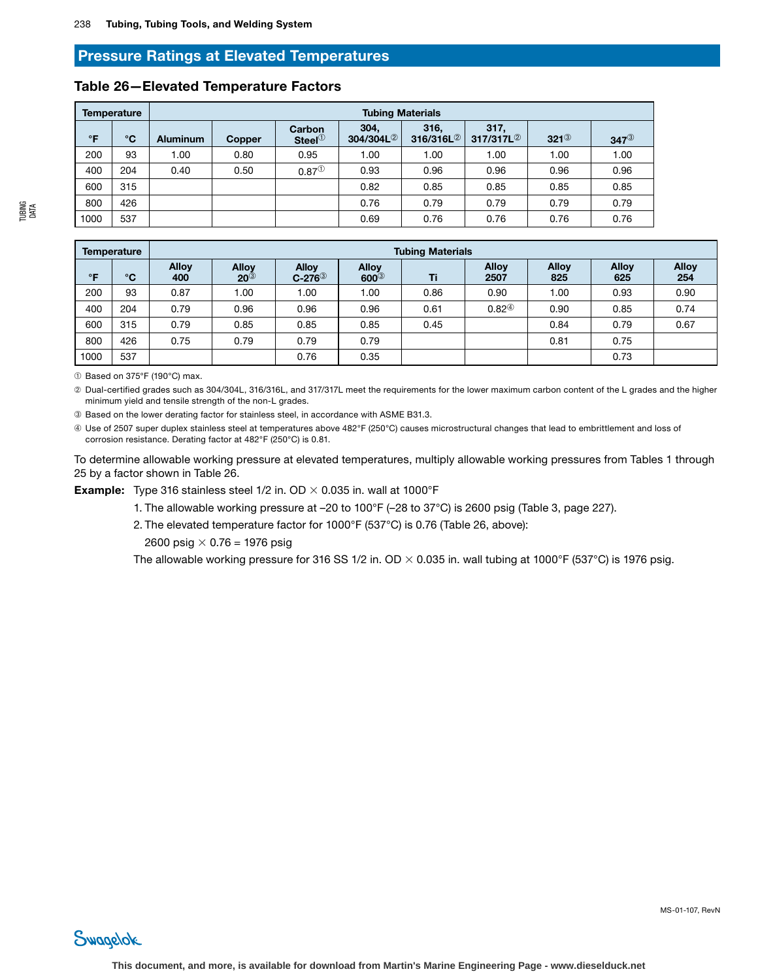# Pressure Ratings at Elevated Temperatures

|              | <b>Temperature</b> | <b>Tubing Materials</b> |               |                     |                               |                               |                               |                 |                 |
|--------------|--------------------|-------------------------|---------------|---------------------|-------------------------------|-------------------------------|-------------------------------|-----------------|-----------------|
| $\mathsf{P}$ | °C                 | <b>Aluminum</b>         | <b>Copper</b> | Carbon<br>Steel $①$ | 304,<br>304/304L <sup>2</sup> | 316,<br>316/316L <sup>2</sup> | 317,<br>317/317L <sup>2</sup> | $321^\circledS$ | $347^\circledS$ |
| 200          | 93                 | 1.00                    | 0.80          | 0.95                | 1.00                          | 1.00                          | 1.00                          | 1.00            | 1.00            |
| 400          | 204                | 0.40                    | 0.50          | $0.87^{(1)}$        | 0.93                          | 0.96                          | 0.96                          | 0.96            | 0.96            |
| 600          | 315                |                         |               |                     | 0.82                          | 0.85                          | 0.85                          | 0.85            | 0.85            |
| 800          | 426                |                         |               |                     | 0.76                          | 0.79                          | 0.79                          | 0.79            | 0.79            |
| 1000         | 537                |                         |               |                     | 0.69                          | 0.76                          | 0.76                          | 0.76            | 0.76            |

#### Table 26—Elevated Temperature Factors

| BING<br>능 | 800  |
|-----------|------|
|           | 1000 |
|           |      |

|           | Temperature  | <b>Tubing Materials</b> |                                  |                                     |                             |      |                      |                     |                     |                     |
|-----------|--------------|-------------------------|----------------------------------|-------------------------------------|-----------------------------|------|----------------------|---------------------|---------------------|---------------------|
| $\circ$ F | $^{\circ}$ C | <b>Alloy</b><br>400     | <b>Allov</b><br>$20^{\circledS}$ | <b>Alloy</b><br>$C-276^{\circledS}$ | <b>Alloy</b><br>$600^\circ$ | Ti   | <b>Alloy</b><br>2507 | <b>Alloy</b><br>825 | <b>Alloy</b><br>625 | <b>Alloy</b><br>254 |
| 200       | 93           | 0.87                    | .00                              | 1.00                                | 1.00                        | 0.86 | 0.90                 | 1.00                | 0.93                | 0.90                |
| 400       | 204          | 0.79                    | 0.96                             | 0.96                                | 0.96                        | 0.61 | $0.82^{\circledR}$   | 0.90                | 0.85                | 0.74                |
| 600       | 315          | 0.79                    | 0.85                             | 0.85                                | 0.85                        | 0.45 |                      | 0.84                | 0.79                | 0.67                |
| 800       | 426          | 0.75                    | 0.79                             | 0.79                                | 0.79                        |      |                      | 0.81                | 0.75                |                     |
| 1000      | 537          |                         |                                  | 0.76                                | 0.35                        |      |                      |                     | 0.73                |                     |

➀ Based on 375°F (190°C) max.

Swagelok

➁ Dual-certified grades such as 304/304L, 316/316L, and 317/317L meet the requirements for the lower maximum carbon content of the L grades and the higher minimum yield and tensile strength of the non-L grades.

➂ Based on the lower derating factor for stainless steel, in accordance with ASME B31.3.

➃ Use of 2507 super duplex stainless steel at temperatures above 482°F (250°C) causes microstructural changes that lead to embrittlement and loss of corrosion resistance. Derating factor at 482°F (250°C) is 0.81.

To determine allowable working pressure at elevated temperatures, multiply allowable working pressures from Tables 1 through 25 by a factor shown in Table 26.

**Example:** Type 316 stainless steel 1/2 in. OD  $\times$  0.035 in. wall at 1000°F

1. The allowable working pressure at –20 to 100°F (–28 to 37°C) is 2600 psig (Table 3, page 227).

2. The elevated temperature factor for 1000°F (537°C) is 0.76 (Table 26, above):

2600 psig  $\times$  0.76 = 1976 psig

The allowable working pressure for 316 SS 1/2 in. OD  $\times$  0.035 in. wall tubing at 1000°F (537°C) is 1976 psig.

MS-01-107, RevN